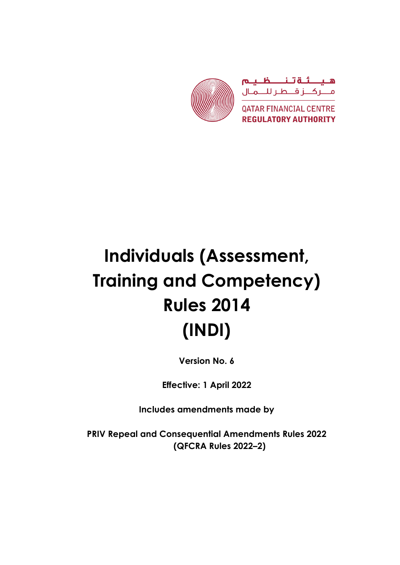

# **Individuals (Assessment, Training and Competency) Rules 2014 (INDI)**

**Version No. 6**

**Effective: 1 April 2022**

**Includes amendments made by**

**PRIV Repeal and Consequential Amendments Rules 2022 (QFCRA Rules 2022–2)**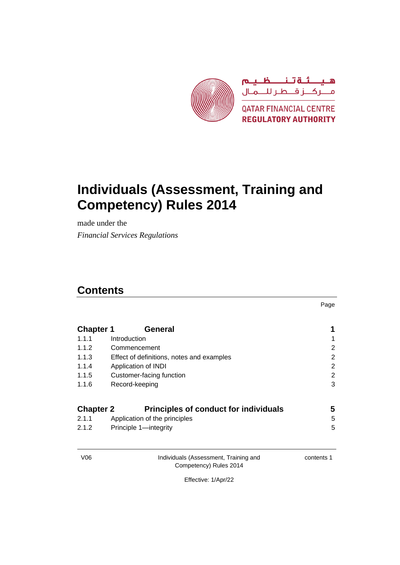

# **Individuals (Assessment, Training and Competency) Rules 2014**

made under the *Financial Services Regulations*

### **Contents**

Page

| <b>Chapter 1</b> | General                                      |                |
|------------------|----------------------------------------------|----------------|
| 1.1.1            | Introduction                                 | 1              |
| 1.1.2            | Commencement                                 | 2              |
| 1.1.3            | Effect of definitions, notes and examples    | $\overline{2}$ |
| 1.1.4            | Application of INDI                          | $\overline{2}$ |
| 1.1.5            | Customer-facing function                     | $\overline{2}$ |
| 1.1.6            | Record-keeping                               | 3              |
| <b>Chapter 2</b> | <b>Principles of conduct for individuals</b> | 5              |
| 2.1.1            | Application of the principles                | 5              |

2.1.2 Principle 1—integrity 5

V06 Individuals (Assessment, Training and Competency) Rules 2014

contents 1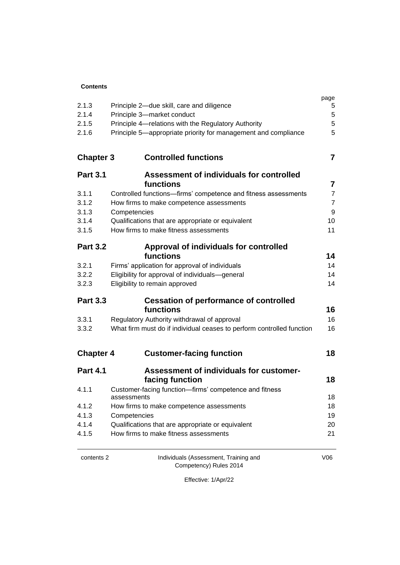#### **Contents**

| 2.1.3<br>2.1.4<br>2.1.5<br>2.1.6 | Principle 2-due skill, care and diligence<br>Principle 3-market conduct<br>Principle 4-relations with the Regulatory Authority<br>Principle 5-appropriate priority for management and compliance | page<br>5<br>5<br>5<br>5 |
|----------------------------------|--------------------------------------------------------------------------------------------------------------------------------------------------------------------------------------------------|--------------------------|
| <b>Chapter 3</b>                 | <b>Controlled functions</b>                                                                                                                                                                      | $\overline{\mathbf{7}}$  |
| <b>Part 3.1</b>                  | Assessment of individuals for controlled                                                                                                                                                         |                          |
|                                  | functions                                                                                                                                                                                        | $\overline{\mathbf{7}}$  |
| 3.1.1                            | Controlled functions-firms' competence and fitness assessments                                                                                                                                   | $\overline{7}$           |
| 3.1.2                            | How firms to make competence assessments                                                                                                                                                         | $\overline{7}$           |
| 3.1.3                            | Competencies                                                                                                                                                                                     | 9                        |
| 3.1.4                            | Qualifications that are appropriate or equivalent<br>How firms to make fitness assessments                                                                                                       | 10<br>11                 |
| 3.1.5                            |                                                                                                                                                                                                  |                          |
| <b>Part 3.2</b>                  | Approval of individuals for controlled                                                                                                                                                           |                          |
|                                  | functions                                                                                                                                                                                        | 14                       |
| 3.2.1                            | Firms' application for approval of individuals                                                                                                                                                   | 14                       |
| 3.2.2                            | Eligibility for approval of individuals-general                                                                                                                                                  | 14                       |
| 3.2.3                            | Eligibility to remain approved                                                                                                                                                                   | 14                       |
| <b>Part 3.3</b>                  | <b>Cessation of performance of controlled</b>                                                                                                                                                    |                          |
|                                  | functions                                                                                                                                                                                        | 16                       |
| 3.3.1                            | Regulatory Authority withdrawal of approval                                                                                                                                                      | 16                       |
| 3.3.2                            | What firm must do if individual ceases to perform controlled function                                                                                                                            | 16                       |
|                                  |                                                                                                                                                                                                  |                          |
| <b>Chapter 4</b>                 | <b>Customer-facing function</b>                                                                                                                                                                  | 18                       |
| <b>Part 4.1</b>                  | <b>Assessment of individuals for customer-</b>                                                                                                                                                   |                          |
|                                  | facing function                                                                                                                                                                                  | 18                       |
| 4.1.1                            | Customer-facing function-firms' competence and fitness<br>assessments                                                                                                                            | 18                       |
| 4.1.2                            | How firms to make competence assessments                                                                                                                                                         | 18                       |
| 4.1.3                            | Competencies                                                                                                                                                                                     | 19                       |
| 4.1.4                            | Qualifications that are appropriate or equivalent                                                                                                                                                | 20                       |
| 4.1.5                            | How firms to make fitness assessments                                                                                                                                                            | 21                       |
|                                  |                                                                                                                                                                                                  |                          |

contents 2 Individuals (Assessment, Training and Competency) Rules 2014

V06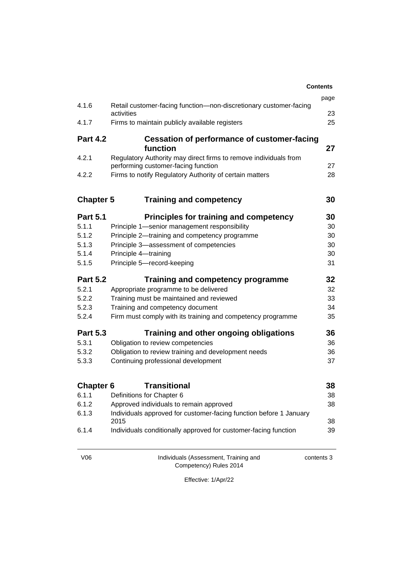|                  |                                                                    | <b>Contents</b> |
|------------------|--------------------------------------------------------------------|-----------------|
|                  |                                                                    | page            |
| 4.1.6            | Retail customer-facing function-non-discretionary customer-facing  |                 |
| 4.1.7            | activities<br>Firms to maintain publicly available registers       | 23<br>25        |
|                  |                                                                    |                 |
| <b>Part 4.2</b>  | <b>Cessation of performance of customer-facing</b>                 |                 |
|                  | function                                                           | 27              |
| 4.2.1            | Regulatory Authority may direct firms to remove individuals from   |                 |
|                  | performing customer-facing function                                | 27              |
| 4.2.2            | Firms to notify Regulatory Authority of certain matters            | 28              |
| <b>Chapter 5</b> | <b>Training and competency</b>                                     | 30              |
| <b>Part 5.1</b>  | <b>Principles for training and competency</b>                      | 30              |
| 5.1.1            | Principle 1-senior management responsibility                       | 30              |
| 5.1.2            | Principle 2-training and competency programme                      | 30              |
| 5.1.3            | Principle 3-assessment of competencies                             | 30              |
| 5.1.4            | Principle 4-training                                               | 30              |
| 5.1.5            | Principle 5-record-keeping                                         | 31              |
| <b>Part 5.2</b>  | Training and competency programme                                  | 32              |
| 5.2.1            | Appropriate programme to be delivered                              | 32              |
| 5.2.2            | Training must be maintained and reviewed                           | 33              |
| 5.2.3            | Training and competency document                                   | 34              |
| 5.2.4            | Firm must comply with its training and competency programme        | 35              |
| <b>Part 5.3</b>  | Training and other ongoing obligations                             | 36              |
| 5.3.1            | Obligation to review competencies                                  | 36              |
| 5.3.2            | Obligation to review training and development needs                | 36              |
| 5.3.3            | Continuing professional development                                | 37              |
| <b>Chapter 6</b> | <b>Transitional</b>                                                | 38              |
| 6.1.1            | Definitions for Chapter 6                                          | 38              |
| 6.1.2            | Approved individuals to remain approved                            | 38              |
| 6.1.3            | Individuals approved for customer-facing function before 1 January |                 |
|                  | 2015                                                               | 38              |
| 6.1.4            | Individuals conditionally approved for customer-facing function    | 39              |
|                  |                                                                    |                 |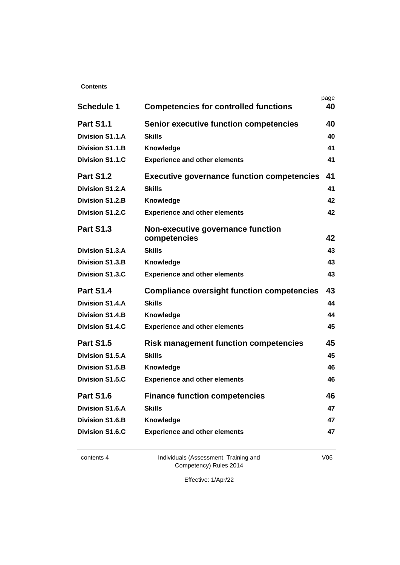#### **Contents**

|                        |                                                   | page |
|------------------------|---------------------------------------------------|------|
| <b>Schedule 1</b>      | <b>Competencies for controlled functions</b>      | 40   |
| <b>Part S1.1</b>       | <b>Senior executive function competencies</b>     | 40   |
| <b>Division S1.1.A</b> | <b>Skills</b>                                     | 40   |
| <b>Division S1.1.B</b> | Knowledge                                         | 41   |
| <b>Division S1.1.C</b> | <b>Experience and other elements</b>              | 41   |
| <b>Part S1.2</b>       | <b>Executive governance function competencies</b> | 41   |
| <b>Division S1.2.A</b> | <b>Skills</b>                                     | 41   |
| <b>Division S1.2.B</b> | Knowledge                                         | 42   |
| <b>Division S1.2.C</b> | <b>Experience and other elements</b>              | 42   |
| <b>Part S1.3</b>       | Non-executive governance function                 |      |
|                        | competencies                                      | 42   |
| <b>Division S1.3.A</b> | <b>Skills</b>                                     | 43   |
| <b>Division S1.3.B</b> | Knowledge                                         | 43   |
| <b>Division S1.3.C</b> | <b>Experience and other elements</b>              | 43   |
| <b>Part S1.4</b>       | <b>Compliance oversight function competencies</b> | 43   |
| <b>Division S1.4.A</b> | <b>Skills</b>                                     | 44   |
| <b>Division S1.4.B</b> | Knowledge                                         | 44   |
| <b>Division S1.4.C</b> | <b>Experience and other elements</b>              | 45   |
| <b>Part S1.5</b>       | <b>Risk management function competencies</b>      | 45   |
| <b>Division S1.5.A</b> | <b>Skills</b>                                     | 45   |
| <b>Division S1.5.B</b> | Knowledge                                         | 46   |
| <b>Division S1.5.C</b> | <b>Experience and other elements</b>              | 46   |
| Part S1.6              | <b>Finance function competencies</b>              | 46   |
| <b>Division S1.6.A</b> | <b>Skills</b>                                     | 47   |
| <b>Division S1.6.B</b> | Knowledge                                         | 47   |
| <b>Division S1.6.C</b> | <b>Experience and other elements</b>              | 47   |
|                        |                                                   |      |

contents 4 Individuals (Assessment, Training and Competency) Rules 2014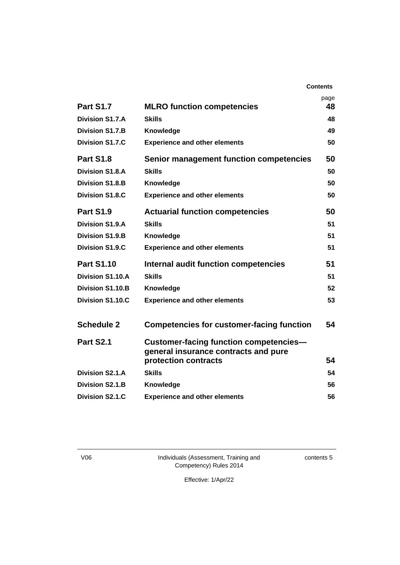|                         |                                                                                                               | page |
|-------------------------|---------------------------------------------------------------------------------------------------------------|------|
| <b>Part S1.7</b>        | <b>MLRO function competencies</b>                                                                             | 48   |
| Division S1.7.A         | <b>Skills</b>                                                                                                 | 48   |
| <b>Division S1.7.B</b>  | Knowledge                                                                                                     | 49   |
| Division S1.7.C         | <b>Experience and other elements</b>                                                                          | 50   |
| Part S1.8               | <b>Senior management function competencies</b>                                                                | 50   |
| <b>Division S1.8.A</b>  | <b>Skills</b>                                                                                                 | 50   |
| <b>Division S1.8.B</b>  | Knowledge                                                                                                     | 50   |
| <b>Division S1.8.C</b>  | <b>Experience and other elements</b>                                                                          | 50   |
| <b>Part S1.9</b>        | <b>Actuarial function competencies</b>                                                                        | 50   |
| Division S1.9.A         | <b>Skills</b>                                                                                                 | 51   |
| <b>Division S1.9.B</b>  | Knowledge                                                                                                     | 51   |
| <b>Division S1.9.C</b>  | <b>Experience and other elements</b>                                                                          | 51   |
| <b>Part S1.10</b>       | Internal audit function competencies                                                                          | 51   |
| <b>Division S1.10.A</b> | <b>Skills</b>                                                                                                 | 51   |
| <b>Division S1.10.B</b> | Knowledge                                                                                                     | 52   |
| <b>Division S1.10.C</b> | <b>Experience and other elements</b>                                                                          | 53   |
| <b>Schedule 2</b>       | <b>Competencies for customer-facing function</b>                                                              | 54   |
| Part S2.1               | <b>Customer-facing function competencies-</b><br>general insurance contracts and pure<br>protection contracts | 54   |
| Division S2.1.A         | <b>Skills</b>                                                                                                 | 54   |
| <b>Division S2.1.B</b>  | Knowledge                                                                                                     | 56   |
| <b>Division S2.1.C</b>  | <b>Experience and other elements</b>                                                                          | 56   |
|                         |                                                                                                               |      |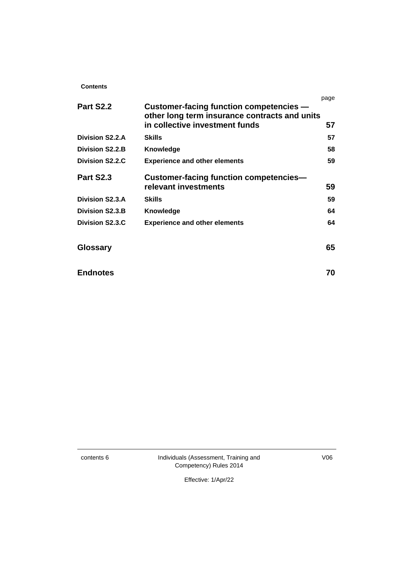#### **Contents**

|                        |                                               | page |
|------------------------|-----------------------------------------------|------|
| <b>Part S2.2</b>       | Customer-facing function competencies -       |      |
|                        | other long term insurance contracts and units |      |
|                        | in collective investment funds                | 57   |
| Division S2.2.A        | <b>Skills</b>                                 | 57   |
| <b>Division S2.2.B</b> | Knowledge                                     | 58   |
| Division S2.2.C        | <b>Experience and other elements</b>          | 59   |
| Part S2.3              | <b>Customer-facing function competencies-</b> |      |
|                        | relevant investments                          | 59   |
| <b>Division S2.3.A</b> | <b>Skills</b>                                 | 59   |
| <b>Division S2.3.B</b> | Knowledge                                     | 64   |
| Division S2.3.C        | <b>Experience and other elements</b>          | 64   |
| <b>Glossary</b>        |                                               | 65   |
| <b>Endnotes</b>        |                                               | 70   |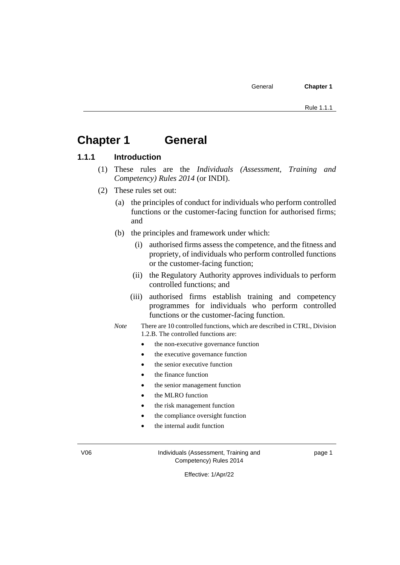### **Chapter 1 General**

#### **1.1.1 Introduction**

- (1) These rules are the *Individuals (Assessment, Training and Competency) Rules 2014* (or INDI).
- (2) These rules set out:
	- (a) the principles of conduct for individuals who perform controlled functions or the customer-facing function for authorised firms; and
	- (b) the principles and framework under which:
		- (i) authorised firms assess the competence, and the fitness and propriety, of individuals who perform controlled functions or the customer-facing function;
		- (ii) the Regulatory Authority approves individuals to perform controlled functions; and
		- (iii) authorised firms establish training and competency programmes for individuals who perform controlled functions or the customer-facing function.
	- *Note* There are 10 controlled functions, which are described in CTRL, Division 1.2.B. The controlled functions are:
		- the non-executive governance function
		- the executive governance function
		- the senior executive function
		- the finance function
		- the senior management function
		- the MLRO function
		- the risk management function
		- the compliance oversight function
		- the internal audit function

V06 Individuals (Assessment, Training and Competency) Rules 2014

page 1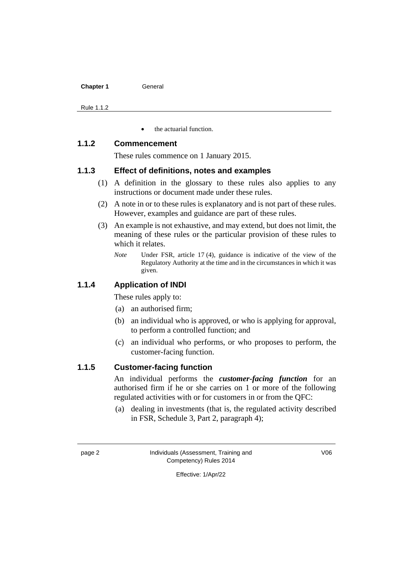| <b>Chapter 1</b> | General |
|------------------|---------|
|                  |         |

Rule 1.1.2

• the actuarial function.

#### **1.1.2 Commencement**

These rules commence on 1 January 2015.

#### **1.1.3 Effect of definitions, notes and examples**

- (1) A definition in the glossary to these rules also applies to any instructions or document made under these rules.
- (2) A note in or to these rules is explanatory and is not part of these rules. However, examples and guidance are part of these rules.
- (3) An example is not exhaustive, and may extend, but does not limit, the meaning of these rules or the particular provision of these rules to which it relates.
	- *Note* Under FSR, article 17 (4), guidance is indicative of the view of the Regulatory Authority at the time and in the circumstances in which it was given.

#### **1.1.4 Application of INDI**

These rules apply to:

- (a) an authorised firm;
- (b) an individual who is approved, or who is applying for approval, to perform a controlled function; and
- (c) an individual who performs, or who proposes to perform, the customer-facing function.

#### **1.1.5 Customer-facing function**

An individual performs the *customer-facing function* for an authorised firm if he or she carries on 1 or more of the following regulated activities with or for customers in or from the QFC:

(a) dealing in investments (that is, the regulated activity described in FSR, Schedule 3, Part 2, paragraph 4);

page 2 Individuals (Assessment, Training and Competency) Rules 2014

V06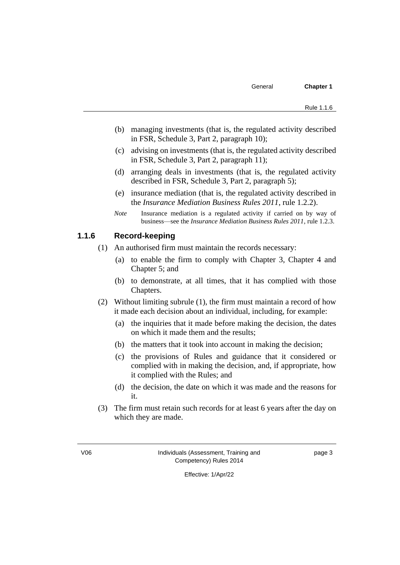- (b) managing investments (that is, the regulated activity described in FSR, Schedule 3, Part 2, paragraph 10);
- (c) advising on investments (that is, the regulated activity described in FSR, Schedule 3, Part 2, paragraph 11);
- (d) arranging deals in investments (that is, the regulated activity described in FSR, Schedule 3, Part 2, paragraph 5);
- (e) insurance mediation (that is, the regulated activity described in the *Insurance Mediation Business Rules 2011*, rule 1.2.2).
- *Note* Insurance mediation is a regulated activity if carried on by way of business—see the *Insurance Mediation Business Rules 2011*, rule 1.2.3.

#### **1.1.6 Record-keeping**

- (1) An authorised firm must maintain the records necessary:
	- (a) to enable the firm to comply with Chapter 3, Chapter 4 and Chapter 5; and
	- (b) to demonstrate, at all times, that it has complied with those Chapters.
- (2) Without limiting subrule (1), the firm must maintain a record of how it made each decision about an individual, including, for example:
	- (a) the inquiries that it made before making the decision, the dates on which it made them and the results;
	- (b) the matters that it took into account in making the decision;
	- (c) the provisions of Rules and guidance that it considered or complied with in making the decision, and, if appropriate, how it complied with the Rules; and
	- (d) the decision, the date on which it was made and the reasons for it.
- (3) The firm must retain such records for at least 6 years after the day on which they are made.

page 3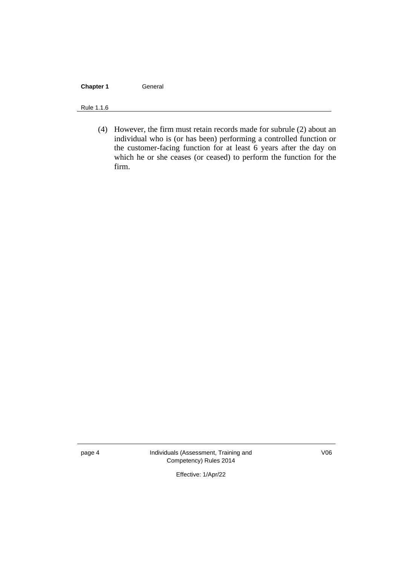#### **Chapter 1** General

#### Rule 1.1.6

(4) However, the firm must retain records made for subrule (2) about an individual who is (or has been) performing a controlled function or the customer-facing function for at least 6 years after the day on which he or she ceases (or ceased) to perform the function for the firm.

page 4 **Individuals (Assessment, Training and** Competency) Rules 2014

V06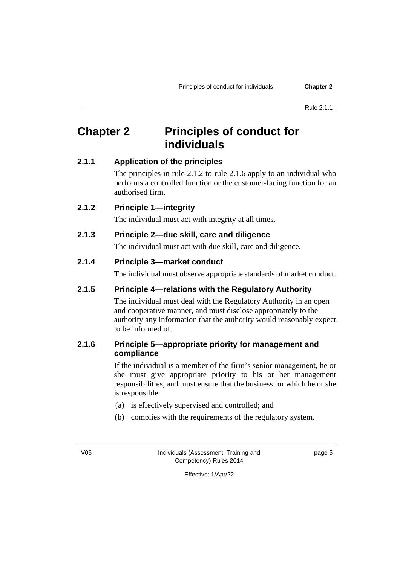# **Chapter 2 Principles of conduct for individuals**

#### **2.1.1 Application of the principles**

The principles in rule 2.1.2 to rule 2.1.6 apply to an individual who performs a controlled function or the customer-facing function for an authorised firm.

#### **2.1.2 Principle 1—integrity**

The individual must act with integrity at all times.

#### **2.1.3 Principle 2—due skill, care and diligence**

The individual must act with due skill, care and diligence.

#### **2.1.4 Principle 3—market conduct**

The individual must observe appropriate standards of market conduct.

#### **2.1.5 Principle 4—relations with the Regulatory Authority**

The individual must deal with the Regulatory Authority in an open and cooperative manner, and must disclose appropriately to the authority any information that the authority would reasonably expect to be informed of.

#### **2.1.6 Principle 5—appropriate priority for management and compliance**

If the individual is a member of the firm's senior management, he or she must give appropriate priority to his or her management responsibilities, and must ensure that the business for which he or she is responsible:

- (a) is effectively supervised and controlled; and
- (b) complies with the requirements of the regulatory system.

V06 Individuals (Assessment, Training and Competency) Rules 2014

page 5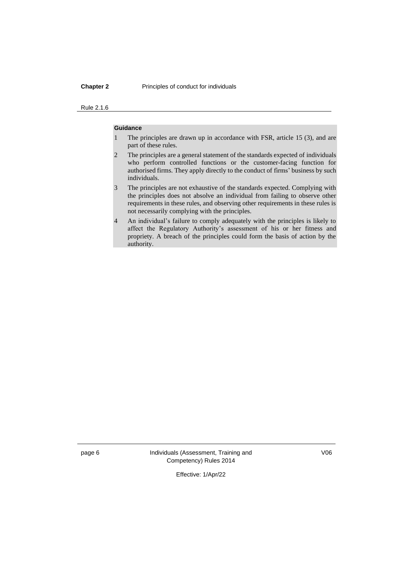#### **Chapter 2** Principles of conduct for individuals

#### Rule 2.1.6

#### **Guidance**

- 1 The principles are drawn up in accordance with FSR, article 15 (3), and are part of these rules.
- 2 The principles are a general statement of the standards expected of individuals who perform controlled functions or the customer-facing function for authorised firms. They apply directly to the conduct of firms' business by such individuals.
- 3 The principles are not exhaustive of the standards expected. Complying with the principles does not absolve an individual from failing to observe other requirements in these rules, and observing other requirements in these rules is not necessarily complying with the principles.
- 4 An individual's failure to comply adequately with the principles is likely to affect the Regulatory Authority's assessment of his or her fitness and propriety. A breach of the principles could form the basis of action by the authority.

page 6 Individuals (Assessment, Training and Competency) Rules 2014

V06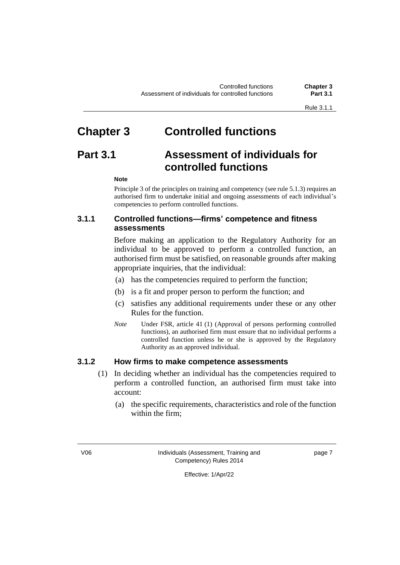# **Chapter 3 Controlled functions**

# **Part 3.1 Assessment of individuals for controlled functions**

#### **Note**

Principle 3 of the principles on training and competency (see rule 5.1.3) requires an authorised firm to undertake initial and ongoing assessments of each individual's competencies to perform controlled functions.

#### **3.1.1 Controlled functions—firms' competence and fitness assessments**

Before making an application to the Regulatory Authority for an individual to be approved to perform a controlled function, an authorised firm must be satisfied, on reasonable grounds after making appropriate inquiries, that the individual:

- (a) has the competencies required to perform the function;
- (b) is a fit and proper person to perform the function; and
- (c) satisfies any additional requirements under these or any other Rules for the function.
- *Note* Under FSR, article 41 (1) (Approval of persons performing controlled functions), an authorised firm must ensure that no individual performs a controlled function unless he or she is approved by the Regulatory Authority as an approved individual.

#### **3.1.2 How firms to make competence assessments**

- (1) In deciding whether an individual has the competencies required to perform a controlled function, an authorised firm must take into account:
	- (a) the specific requirements, characteristics and role of the function within the firm;

V06 Individuals (Assessment, Training and Competency) Rules 2014

page 7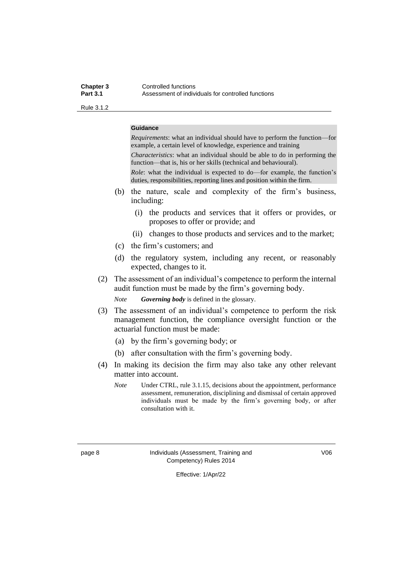#### **Chapter 3** Controlled functions<br> **Part 3.1** Assessment of indiv Assessment of individuals for controlled functions

Rule 3.1.2

#### **Guidance**

*Requirements*: what an individual should have to perform the function—for example, a certain level of knowledge, experience and training *Characteristics*: what an individual should be able to do in performing the function—that is, his or her skills (technical and behavioural).

*Role*: what the individual is expected to do—for example, the function's duties, responsibilities, reporting lines and position within the firm.

- (b) the nature, scale and complexity of the firm's business, including:
	- (i) the products and services that it offers or provides, or proposes to offer or provide; and
	- (ii) changes to those products and services and to the market;
- (c) the firm's customers; and
- (d) the regulatory system, including any recent, or reasonably expected, changes to it.
- (2) The assessment of an individual's competence to perform the internal audit function must be made by the firm's governing body.

*Note Governing body* is defined in the glossary.

- (3) The assessment of an individual's competence to perform the risk management function, the compliance oversight function or the actuarial function must be made:
	- (a) by the firm's governing body; or
	- (b) after consultation with the firm's governing body.
- (4) In making its decision the firm may also take any other relevant matter into account.
	- *Note* Under CTRL, rule 3.1.15, decisions about the appointment, performance assessment, remuneration, disciplining and dismissal of certain approved individuals must be made by the firm's governing body, or after consultation with it.

page 8 Individuals (Assessment, Training and Competency) Rules 2014

V06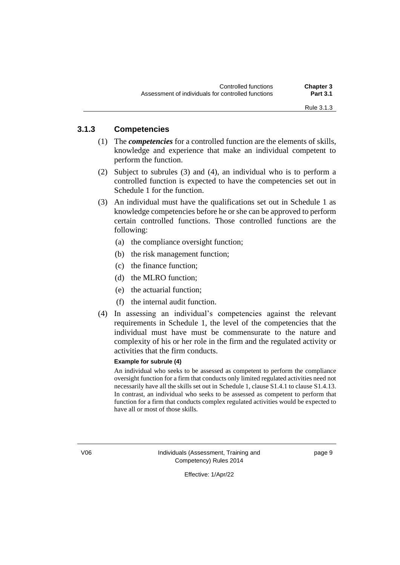#### **3.1.3 Competencies**

- (1) The *competencies* for a controlled function are the elements of skills, knowledge and experience that make an individual competent to perform the function.
- (2) Subject to subrules (3) and (4), an individual who is to perform a controlled function is expected to have the competencies set out in Schedule 1 for the function.
- (3) An individual must have the qualifications set out in Schedule 1 as knowledge competencies before he or she can be approved to perform certain controlled functions. Those controlled functions are the following:
	- (a) the compliance oversight function;
	- (b) the risk management function;
	- (c) the finance function;
	- (d) the MLRO function;
	- (e) the actuarial function;
	- (f) the internal audit function.
- (4) In assessing an individual's competencies against the relevant requirements in Schedule 1, the level of the competencies that the individual must have must be commensurate to the nature and complexity of his or her role in the firm and the regulated activity or activities that the firm conducts.

#### **Example for subrule (4)**

An individual who seeks to be assessed as competent to perform the compliance oversight function for a firm that conducts only limited regulated activities need not necessarily have all the skills set out in Schedule 1, clause S1.4.1 to clause S1.4.13. In contrast, an individual who seeks to be assessed as competent to perform that function for a firm that conducts complex regulated activities would be expected to have all or most of those skills.

V06 Individuals (Assessment, Training and Competency) Rules 2014

page 9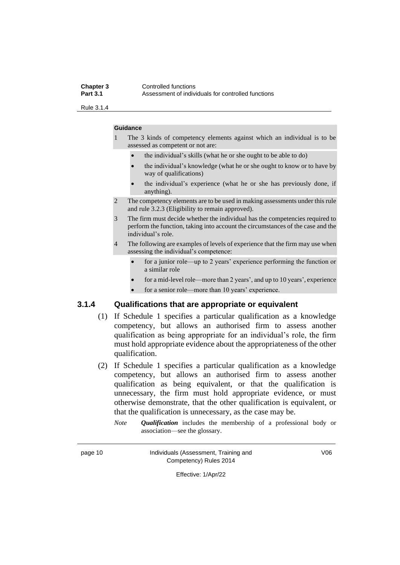#### **Chapter 3** Controlled functions<br> **Part 3.1** Assessment of indiv Assessment of individuals for controlled functions

Rule 3.1.4

#### **Guidance**

1 The 3 kinds of competency elements against which an individual is to be assessed as competent or not are:

- the individual's skills (what he or she ought to be able to do)
- the individual's knowledge (what he or she ought to know or to have by way of qualifications)
- the individual's experience (what he or she has previously done, if anything).
- 2 The competency elements are to be used in making assessments under this rule and rule 3.2.3 (Eligibility to remain approved).
- 3 The firm must decide whether the individual has the competencies required to perform the function, taking into account the circumstances of the case and the individual's role.
- 4 The following are examples of levels of experience that the firm may use when assessing the individual's competence:
	- for a junior role—up to 2 years' experience performing the function or a similar role
	- for a mid-level role—more than 2 years', and up to 10 years', experience
	- for a senior role—more than 10 years' experience.

#### **3.1.4 Qualifications that are appropriate or equivalent**

- (1) If Schedule 1 specifies a particular qualification as a knowledge competency, but allows an authorised firm to assess another qualification as being appropriate for an individual's role, the firm must hold appropriate evidence about the appropriateness of the other qualification.
- (2) If Schedule 1 specifies a particular qualification as a knowledge competency, but allows an authorised firm to assess another qualification as being equivalent, or that the qualification is unnecessary, the firm must hold appropriate evidence, or must otherwise demonstrate, that the other qualification is equivalent, or that the qualification is unnecessary, as the case may be.
	- *Note Qualification* includes the membership of a professional body or association—see the glossary.

#### page 10 **Individuals (Assessment, Training and** Competency) Rules 2014

V06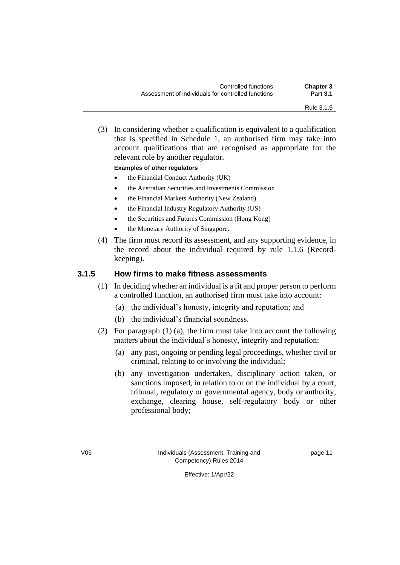(3) In considering whether a qualification is equivalent to a qualification that is specified in Schedule 1, an authorised firm may take into account qualifications that are recognised as appropriate for the relevant role by another regulator.

#### **Examples of other regulators**

- the Financial Conduct Authority (UK)
- the Australian Securities and Investments Commission
- the Financial Markets Authority (New Zealand)
- the Financial Industry Regulatory Authority (US)
- the Securities and Futures Commission (Hong Kong)
- the Monetary Authority of Singapore.
- (4) The firm must record its assessment, and any supporting evidence, in the record about the individual required by rule 1.1.6 (Recordkeeping).

#### **3.1.5 How firms to make fitness assessments**

- (1) In deciding whether an individual is a fit and proper person to perform a controlled function, an authorised firm must take into account:
	- (a) the individual's honesty, integrity and reputation; and
	- (b) the individual's financial soundness.
- (2) For paragraph (1) (a), the firm must take into account the following matters about the individual's honesty, integrity and reputation:
	- (a) any past, ongoing or pending legal proceedings, whether civil or criminal, relating to or involving the individual;
	- (b) any investigation undertaken, disciplinary action taken, or sanctions imposed, in relation to or on the individual by a court, tribunal, regulatory or governmental agency, body or authority, exchange, clearing house, self-regulatory body or other professional body;

V06 Individuals (Assessment, Training and Competency) Rules 2014

page 11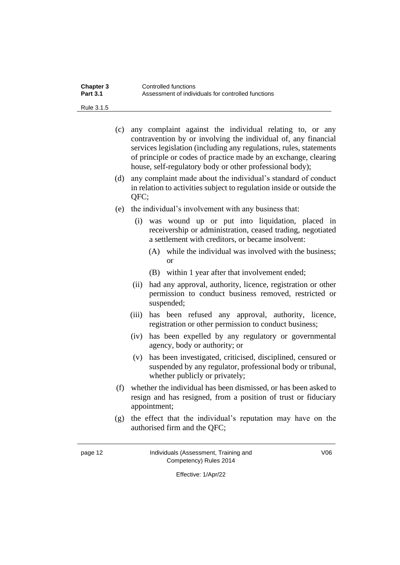| Chapter 3       | Controlled functions                               |
|-----------------|----------------------------------------------------|
| <b>Part 3.1</b> | Assessment of individuals for controlled functions |

Rule 3.1.5

- (c) any complaint against the individual relating to, or any contravention by or involving the individual of, any financial services legislation (including any regulations, rules, statements of principle or codes of practice made by an exchange, clearing house, self-regulatory body or other professional body);
- (d) any complaint made about the individual's standard of conduct in relation to activities subject to regulation inside or outside the QFC;
- (e) the individual's involvement with any business that:
	- (i) was wound up or put into liquidation, placed in receivership or administration, ceased trading, negotiated a settlement with creditors, or became insolvent:
		- (A) while the individual was involved with the business; or
		- (B) within 1 year after that involvement ended;
	- (ii) had any approval, authority, licence, registration or other permission to conduct business removed, restricted or suspended;
	- (iii) has been refused any approval, authority, licence, registration or other permission to conduct business;
	- (iv) has been expelled by any regulatory or governmental agency, body or authority; or
	- (v) has been investigated, criticised, disciplined, censured or suspended by any regulator, professional body or tribunal, whether publicly or privately;
- (f) whether the individual has been dismissed, or has been asked to resign and has resigned, from a position of trust or fiduciary appointment;
- (g) the effect that the individual's reputation may have on the authorised firm and the QFC;

page 12 Individuals (Assessment, Training and Competency) Rules 2014

V06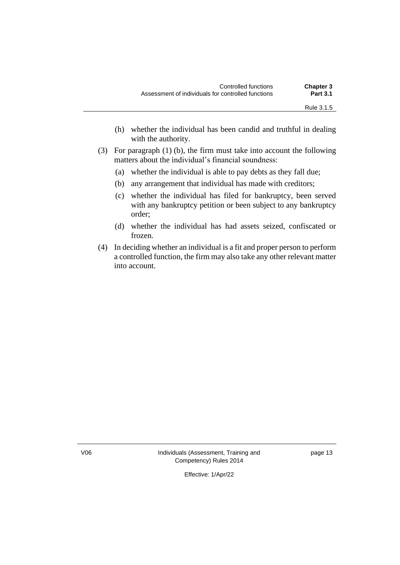- (h) whether the individual has been candid and truthful in dealing with the authority.
- (3) For paragraph (1) (b), the firm must take into account the following matters about the individual's financial soundness:
	- (a) whether the individual is able to pay debts as they fall due;
	- (b) any arrangement that individual has made with creditors;
	- (c) whether the individual has filed for bankruptcy, been served with any bankruptcy petition or been subject to any bankruptcy order;
	- (d) whether the individual has had assets seized, confiscated or frozen.
- (4) In deciding whether an individual is a fit and proper person to perform a controlled function, the firm may also take any other relevant matter into account.

V06 Individuals (Assessment, Training and Competency) Rules 2014

page 13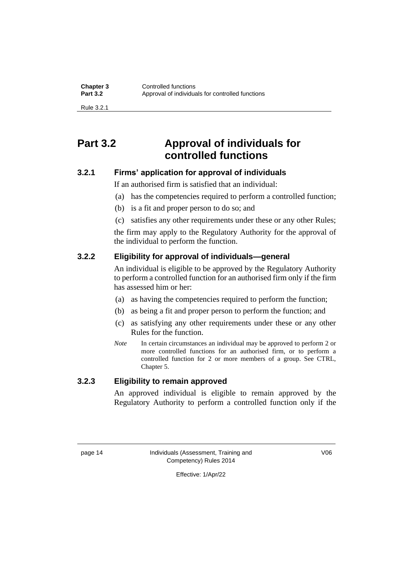**Chapter 3** Controlled functions<br> **Part 3.2** Approval of individual Approval of individuals for controlled functions

Rule 3.2.1

### **Part 3.2 Approval of individuals for controlled functions**

#### **3.2.1 Firms' application for approval of individuals**

If an authorised firm is satisfied that an individual:

- (a) has the competencies required to perform a controlled function;
- (b) is a fit and proper person to do so; and
- (c) satisfies any other requirements under these or any other Rules;

the firm may apply to the Regulatory Authority for the approval of the individual to perform the function.

#### **3.2.2 Eligibility for approval of individuals—general**

An individual is eligible to be approved by the Regulatory Authority to perform a controlled function for an authorised firm only if the firm has assessed him or her:

- (a) as having the competencies required to perform the function;
- (b) as being a fit and proper person to perform the function; and
- (c) as satisfying any other requirements under these or any other Rules for the function.
- *Note* In certain circumstances an individual may be approved to perform 2 or more controlled functions for an authorised firm, or to perform a controlled function for 2 or more members of a group. See CTRL, Chapter 5.

#### **3.2.3 Eligibility to remain approved**

An approved individual is eligible to remain approved by the Regulatory Authority to perform a controlled function only if the

page 14 Individuals (Assessment, Training and Competency) Rules 2014

V06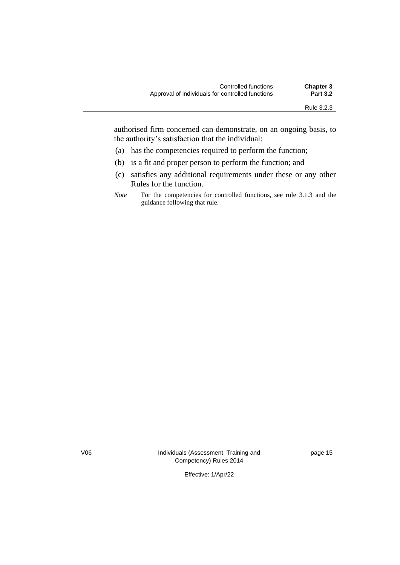authorised firm concerned can demonstrate, on an ongoing basis, to the authority's satisfaction that the individual:

- (a) has the competencies required to perform the function;
- (b) is a fit and proper person to perform the function; and
- (c) satisfies any additional requirements under these or any other Rules for the function.
- *Note* For the competencies for controlled functions, see rule 3.1.3 and the guidance following that rule.

V06 Individuals (Assessment, Training and Competency) Rules 2014

page 15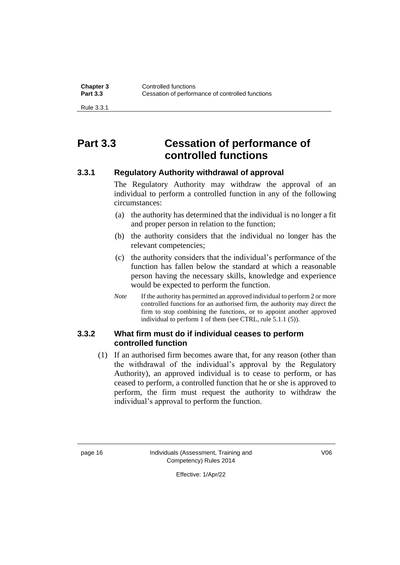Rule 3.3.1

# **Part 3.3 Cessation of performance of controlled functions**

#### **3.3.1 Regulatory Authority withdrawal of approval**

The Regulatory Authority may withdraw the approval of an individual to perform a controlled function in any of the following circumstances:

- (a) the authority has determined that the individual is no longer a fit and proper person in relation to the function;
- (b) the authority considers that the individual no longer has the relevant competencies;
- (c) the authority considers that the individual's performance of the function has fallen below the standard at which a reasonable person having the necessary skills, knowledge and experience would be expected to perform the function.
- *Note* If the authority has permitted an approved individual to perform 2 or more controlled functions for an authorised firm, the authority may direct the firm to stop combining the functions, or to appoint another approved individual to perform 1 of them (see CTRL, rule 5.1.1 (5)).

#### **3.3.2 What firm must do if individual ceases to perform controlled function**

(1) If an authorised firm becomes aware that, for any reason (other than the withdrawal of the individual's approval by the Regulatory Authority), an approved individual is to cease to perform, or has ceased to perform, a controlled function that he or she is approved to perform, the firm must request the authority to withdraw the individual's approval to perform the function.

page 16 **Individuals (Assessment, Training and** Competency) Rules 2014

V06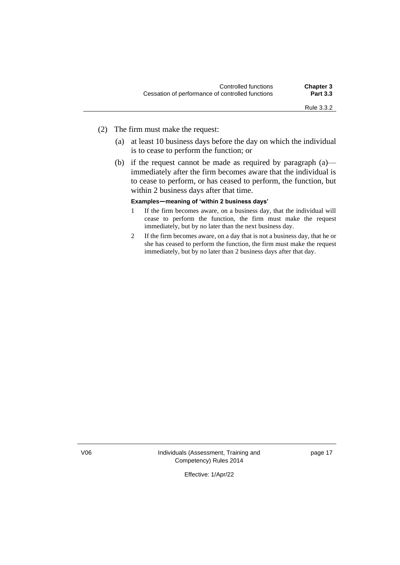- (2) The firm must make the request:
	- (a) at least 10 business days before the day on which the individual is to cease to perform the function; or
	- (b) if the request cannot be made as required by paragraph  $(a)$  immediately after the firm becomes aware that the individual is to cease to perform, or has ceased to perform, the function, but within 2 business days after that time.

#### **Examples—meaning of 'within 2 business days'**

- 1 If the firm becomes aware, on a business day, that the individual will cease to perform the function, the firm must make the request immediately, but by no later than the next business day.
- 2 If the firm becomes aware, on a day that is not a business day, that he or she has ceased to perform the function, the firm must make the request immediately, but by no later than 2 business days after that day.

V06 Individuals (Assessment, Training and Competency) Rules 2014

page 17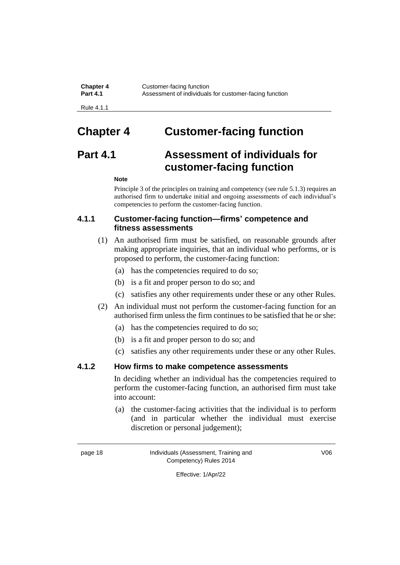**Chapter 4** Customer-facing function<br>**Part 4.1** Assessment of individuals Assessment of individuals for customer-facing function

Rule 4.1.1

# **Chapter 4 Customer-facing function**

# **Part 4.1 Assessment of individuals for customer-facing function**

#### **Note**

Principle 3 of the principles on training and competency (see rule 5.1.3) requires an authorised firm to undertake initial and ongoing assessments of each individual's competencies to perform the customer-facing function.

#### **4.1.1 Customer-facing function—firms' competence and fitness assessments**

- (1) An authorised firm must be satisfied, on reasonable grounds after making appropriate inquiries, that an individual who performs, or is proposed to perform, the customer-facing function:
	- (a) has the competencies required to do so;
	- (b) is a fit and proper person to do so; and
	- (c) satisfies any other requirements under these or any other Rules.
- (2) An individual must not perform the customer-facing function for an authorised firm unless the firm continues to be satisfied that he or she:
	- (a) has the competencies required to do so;
	- (b) is a fit and proper person to do so; and
	- (c) satisfies any other requirements under these or any other Rules.

#### **4.1.2 How firms to make competence assessments**

In deciding whether an individual has the competencies required to perform the customer-facing function, an authorised firm must take into account:

(a) the customer-facing activities that the individual is to perform (and in particular whether the individual must exercise discretion or personal judgement);

page 18 Individuals (Assessment, Training and Competency) Rules 2014

V06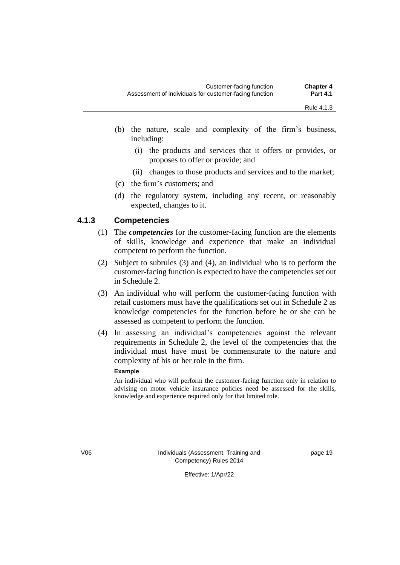- (b) the nature, scale and complexity of the firm's business, including:
	- (i) the products and services that it offers or provides, or proposes to offer or provide; and
	- (ii) changes to those products and services and to the market;
- (c) the firm's customers; and
- (d) the regulatory system, including any recent, or reasonably expected, changes to it.

#### **4.1.3 Competencies**

- (1) The *competencies* for the customer-facing function are the elements of skills, knowledge and experience that make an individual competent to perform the function.
- (2) Subject to subrules (3) and (4), an individual who is to perform the customer-facing function is expected to have the competencies set out in Schedule 2.
- (3) An individual who will perform the customer-facing function with retail customers must have the qualifications set out in Schedule 2 as knowledge competencies for the function before he or she can be assessed as competent to perform the function.
- (4) In assessing an individual's competencies against the relevant requirements in Schedule 2, the level of the competencies that the individual must have must be commensurate to the nature and complexity of his or her role in the firm.

#### **Example**

An individual who will perform the customer-facing function only in relation to advising on motor vehicle insurance policies need be assessed for the skills, knowledge and experience required only for that limited role.

V06 Individuals (Assessment, Training and Competency) Rules 2014

page 19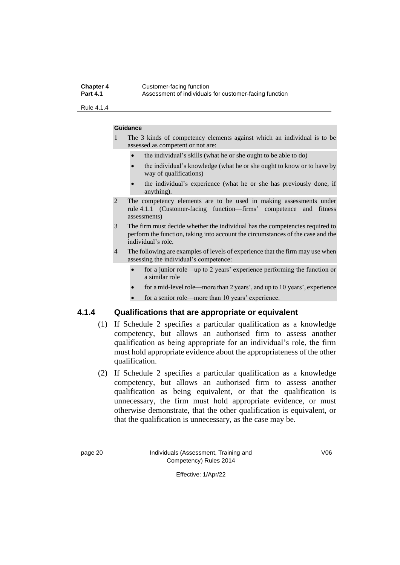#### **Chapter 4** Customer-facing function<br>**Part 4.1** Assessment of individuals Assessment of individuals for customer-facing function

Rule 4.1.4

#### **Guidance**

1 The 3 kinds of competency elements against which an individual is to be assessed as competent or not are:

- the individual's skills (what he or she ought to be able to do)
- the individual's knowledge (what he or she ought to know or to have by way of qualifications)
- the individual's experience (what he or she has previously done, if anything).
- 2 The competency elements are to be used in making assessments under rule 4.1.1 (Customer-facing function—firms' competence and fitness assessments)
- 3 The firm must decide whether the individual has the competencies required to perform the function, taking into account the circumstances of the case and the individual's role.
- 4 The following are examples of levels of experience that the firm may use when assessing the individual's competence:
	- for a junior role—up to 2 years' experience performing the function or a similar role
	- for a mid-level role—more than 2 years', and up to 10 years', experience
	- for a senior role—more than 10 years' experience.

#### **4.1.4 Qualifications that are appropriate or equivalent**

- (1) If Schedule 2 specifies a particular qualification as a knowledge competency, but allows an authorised firm to assess another qualification as being appropriate for an individual's role, the firm must hold appropriate evidence about the appropriateness of the other qualification.
- (2) If Schedule 2 specifies a particular qualification as a knowledge competency, but allows an authorised firm to assess another qualification as being equivalent, or that the qualification is unnecessary, the firm must hold appropriate evidence, or must otherwise demonstrate, that the other qualification is equivalent, or that the qualification is unnecessary, as the case may be.

page 20 Individuals (Assessment, Training and Competency) Rules 2014

V06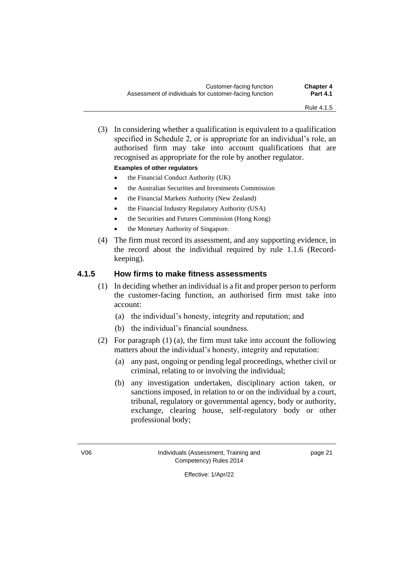(3) In considering whether a qualification is equivalent to a qualification specified in Schedule 2, or is appropriate for an individual's role, an authorised firm may take into account qualifications that are recognised as appropriate for the role by another regulator.

#### **Examples of other regulators**

- the Financial Conduct Authority (UK)
- the Australian Securities and Investments Commission
- the Financial Markets Authority (New Zealand)
- the Financial Industry Regulatory Authority (USA)
- the Securities and Futures Commission (Hong Kong)
- the Monetary Authority of Singapore.
- (4) The firm must record its assessment, and any supporting evidence, in the record about the individual required by rule 1.1.6 (Recordkeeping).

#### **4.1.5 How firms to make fitness assessments**

- (1) In deciding whether an individual is a fit and proper person to perform the customer-facing function, an authorised firm must take into account:
	- (a) the individual's honesty, integrity and reputation; and
	- (b) the individual's financial soundness.
- (2) For paragraph (1) (a), the firm must take into account the following matters about the individual's honesty, integrity and reputation:
	- (a) any past, ongoing or pending legal proceedings, whether civil or criminal, relating to or involving the individual;
	- (b) any investigation undertaken, disciplinary action taken, or sanctions imposed, in relation to or on the individual by a court, tribunal, regulatory or governmental agency, body or authority, exchange, clearing house, self-regulatory body or other professional body;

V06 Individuals (Assessment, Training and Competency) Rules 2014

page 21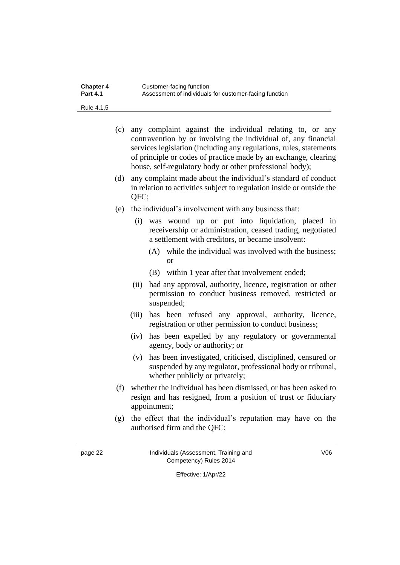| <b>Chapter 4</b> | Customer-facing function                               |
|------------------|--------------------------------------------------------|
| <b>Part 4.1</b>  | Assessment of individuals for customer-facing function |

Rule 4.1.5

- (c) any complaint against the individual relating to, or any contravention by or involving the individual of, any financial services legislation (including any regulations, rules, statements of principle or codes of practice made by an exchange, clearing house, self-regulatory body or other professional body);
- (d) any complaint made about the individual's standard of conduct in relation to activities subject to regulation inside or outside the QFC;
- (e) the individual's involvement with any business that:
	- (i) was wound up or put into liquidation, placed in receivership or administration, ceased trading, negotiated a settlement with creditors, or became insolvent:
		- (A) while the individual was involved with the business; or
		- (B) within 1 year after that involvement ended;
	- (ii) had any approval, authority, licence, registration or other permission to conduct business removed, restricted or suspended;
	- (iii) has been refused any approval, authority, licence, registration or other permission to conduct business;
	- (iv) has been expelled by any regulatory or governmental agency, body or authority; or
	- (v) has been investigated, criticised, disciplined, censured or suspended by any regulator, professional body or tribunal, whether publicly or privately;
- (f) whether the individual has been dismissed, or has been asked to resign and has resigned, from a position of trust or fiduciary appointment;
- (g) the effect that the individual's reputation may have on the authorised firm and the QFC;

page 22 Individuals (Assessment, Training and Competency) Rules 2014

V06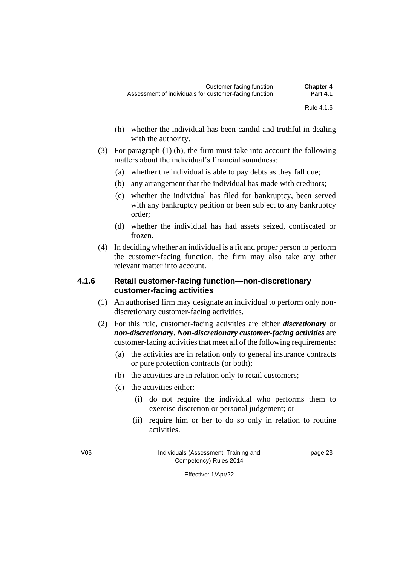- (h) whether the individual has been candid and truthful in dealing with the authority.
- (3) For paragraph (1) (b), the firm must take into account the following matters about the individual's financial soundness:
	- (a) whether the individual is able to pay debts as they fall due;
	- (b) any arrangement that the individual has made with creditors;
	- (c) whether the individual has filed for bankruptcy, been served with any bankruptcy petition or been subject to any bankruptcy order;
	- (d) whether the individual has had assets seized, confiscated or frozen.
- (4) In deciding whether an individual is a fit and proper person to perform the customer-facing function, the firm may also take any other relevant matter into account.

#### **4.1.6 Retail customer-facing function—non-discretionary customer-facing activities**

- (1) An authorised firm may designate an individual to perform only nondiscretionary customer-facing activities.
- (2) For this rule, customer-facing activities are either *discretionary* or *non-discretionary*. *Non-discretionary customer-facing activities* are customer-facing activities that meet all of the following requirements:
	- (a) the activities are in relation only to general insurance contracts or pure protection contracts (or both);
	- (b) the activities are in relation only to retail customers;
	- (c) the activities either:
		- (i) do not require the individual who performs them to exercise discretion or personal judgement; or
		- (ii) require him or her to do so only in relation to routine activities.

V06 Individuals (Assessment, Training and Competency) Rules 2014

page 23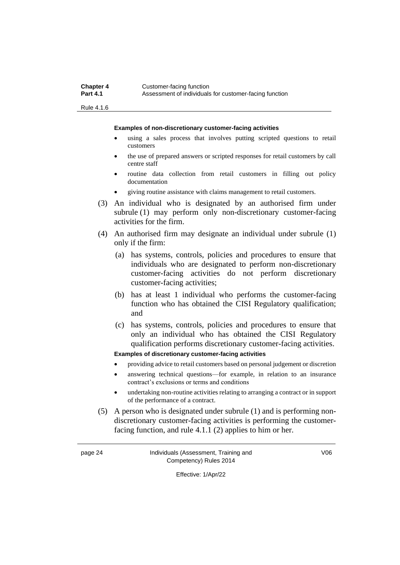Rule 4.1.6

**Examples of non-discretionary customer-facing activities**

- using a sales process that involves putting scripted questions to retail customers
- the use of prepared answers or scripted responses for retail customers by call centre staff
- routine data collection from retail customers in filling out policy documentation
- giving routine assistance with claims management to retail customers.
- (3) An individual who is designated by an authorised firm under subrule (1) may perform only non-discretionary customer-facing activities for the firm.
- (4) An authorised firm may designate an individual under subrule (1) only if the firm:
	- (a) has systems, controls, policies and procedures to ensure that individuals who are designated to perform non-discretionary customer-facing activities do not perform discretionary customer-facing activities;
	- (b) has at least 1 individual who performs the customer-facing function who has obtained the CISI Regulatory qualification; and
	- (c) has systems, controls, policies and procedures to ensure that only an individual who has obtained the CISI Regulatory qualification performs discretionary customer-facing activities.

#### **Examples of discretionary customer-facing activities**

- providing advice to retail customers based on personal judgement or discretion
- answering technical questions—for example, in relation to an insurance contract's exclusions or terms and conditions
- undertaking non-routine activities relating to arranging a contract or in support of the performance of a contract.
- (5) A person who is designated under subrule (1) and is performing nondiscretionary customer-facing activities is performing the customerfacing function, and rule 4.1.1 (2) applies to him or her.

page 24 Individuals (Assessment, Training and Competency) Rules 2014

V06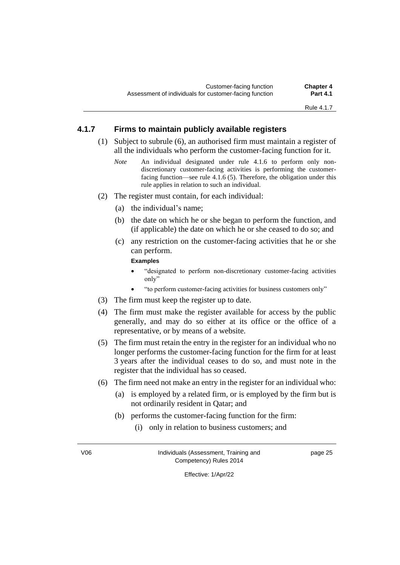#### **4.1.7 Firms to maintain publicly available registers**

- (1) Subject to subrule (6), an authorised firm must maintain a register of all the individuals who perform the customer-facing function for it.
	- *Note* An individual designated under rule 4.1.6 to perform only nondiscretionary customer-facing activities is performing the customerfacing function—see rule 4.1.6 (5). Therefore, the obligation under this rule applies in relation to such an individual.
- (2) The register must contain, for each individual:
	- (a) the individual's name;
	- (b) the date on which he or she began to perform the function, and (if applicable) the date on which he or she ceased to do so; and
	- (c) any restriction on the customer-facing activities that he or she can perform.

**Examples**

- "designated to perform non-discretionary customer-facing activities only"
- "to perform customer-facing activities for business customers only"
- (3) The firm must keep the register up to date.
- (4) The firm must make the register available for access by the public generally, and may do so either at its office or the office of a representative, or by means of a website.
- (5) The firm must retain the entry in the register for an individual who no longer performs the customer-facing function for the firm for at least 3 years after the individual ceases to do so, and must note in the register that the individual has so ceased.
- (6) The firm need not make an entry in the register for an individual who:
	- (a) is employed by a related firm, or is employed by the firm but is not ordinarily resident in Qatar; and
	- (b) performs the customer-facing function for the firm:
		- (i) only in relation to business customers; and

V06 Individuals (Assessment, Training and Competency) Rules 2014

page 25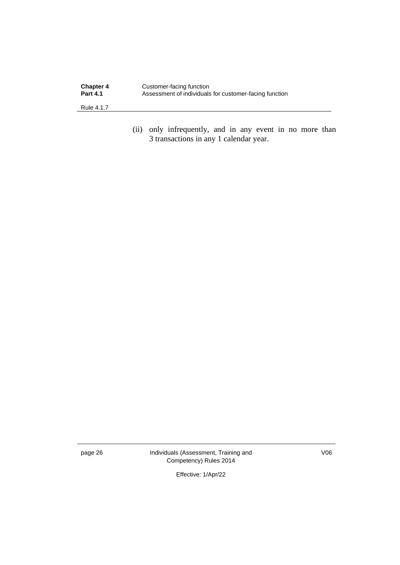| <b>Chapter 4</b> | Customer-facing function                               |
|------------------|--------------------------------------------------------|
| <b>Part 4.1</b>  | Assessment of individuals for customer-facing function |
| Rule 4.1.7       |                                                        |

(ii) only infrequently, and in any event in no more than 3 transactions in any 1 calendar year.

page 26 Individuals (Assessment, Training and Competency) Rules 2014

V06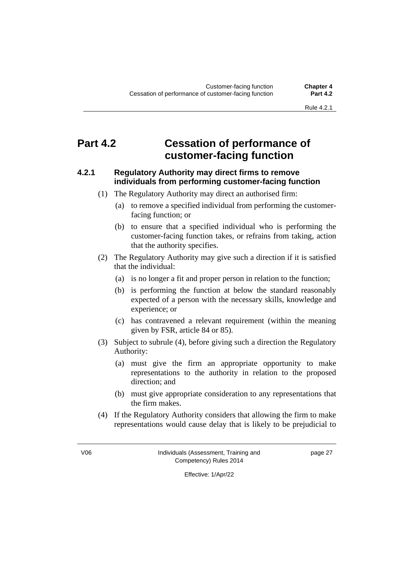### **Part 4.2 Cessation of performance of customer-facing function**

#### **4.2.1 Regulatory Authority may direct firms to remove individuals from performing customer-facing function**

- (1) The Regulatory Authority may direct an authorised firm:
	- (a) to remove a specified individual from performing the customerfacing function; or
	- (b) to ensure that a specified individual who is performing the customer-facing function takes, or refrains from taking, action that the authority specifies.
- (2) The Regulatory Authority may give such a direction if it is satisfied that the individual:
	- (a) is no longer a fit and proper person in relation to the function;
	- (b) is performing the function at below the standard reasonably expected of a person with the necessary skills, knowledge and experience; or
	- (c) has contravened a relevant requirement (within the meaning given by FSR, article 84 or 85).
- (3) Subject to subrule (4), before giving such a direction the Regulatory Authority:
	- (a) must give the firm an appropriate opportunity to make representations to the authority in relation to the proposed direction; and
	- (b) must give appropriate consideration to any representations that the firm makes.
- (4) If the Regulatory Authority considers that allowing the firm to make representations would cause delay that is likely to be prejudicial to

V06 Individuals (Assessment, Training and Competency) Rules 2014

page 27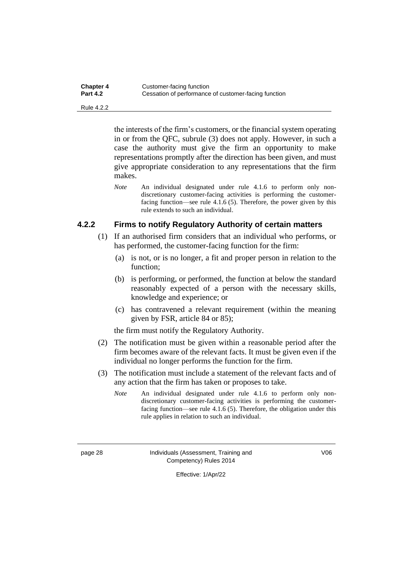| <b>Chapter 4</b> | Customer-facing function                             |
|------------------|------------------------------------------------------|
| <b>Part 4.2</b>  | Cessation of performance of customer-facing function |

Rule 4.2.2

the interests of the firm's customers, or the financial system operating in or from the QFC, subrule (3) does not apply. However, in such a case the authority must give the firm an opportunity to make representations promptly after the direction has been given, and must give appropriate consideration to any representations that the firm makes.

*Note* An individual designated under rule 4.1.6 to perform only nondiscretionary customer-facing activities is performing the customerfacing function—see rule 4.1.6 (5). Therefore, the power given by this rule extends to such an individual.

#### **4.2.2 Firms to notify Regulatory Authority of certain matters**

- (1) If an authorised firm considers that an individual who performs, or has performed, the customer-facing function for the firm:
	- (a) is not, or is no longer, a fit and proper person in relation to the function;
	- (b) is performing, or performed, the function at below the standard reasonably expected of a person with the necessary skills, knowledge and experience; or
	- (c) has contravened a relevant requirement (within the meaning given by FSR, article 84 or 85);

the firm must notify the Regulatory Authority.

- (2) The notification must be given within a reasonable period after the firm becomes aware of the relevant facts. It must be given even if the individual no longer performs the function for the firm.
- (3) The notification must include a statement of the relevant facts and of any action that the firm has taken or proposes to take.
	- *Note* An individual designated under rule 4.1.6 to perform only nondiscretionary customer-facing activities is performing the customerfacing function—see rule 4.1.6 (5). Therefore, the obligation under this rule applies in relation to such an individual.

page 28 Individuals (Assessment, Training and Competency) Rules 2014

V06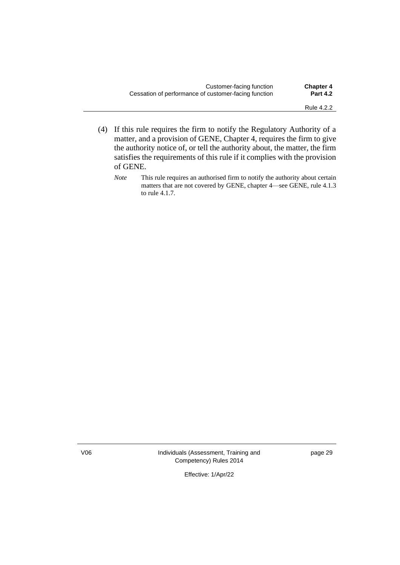| Customer-facing function                             | <b>Chapter 4</b> |
|------------------------------------------------------|------------------|
| Cessation of performance of customer-facing function | <b>Part 4.2</b>  |
|                                                      |                  |

- (4) If this rule requires the firm to notify the Regulatory Authority of a matter, and a provision of GENE, Chapter 4, requires the firm to give the authority notice of, or tell the authority about, the matter, the firm satisfies the requirements of this rule if it complies with the provision of GENE.
	- *Note* This rule requires an authorised firm to notify the authority about certain matters that are not covered by GENE, chapter 4—see GENE, rule 4.1.3 to rule 4.1.7.

V06 Individuals (Assessment, Training and Competency) Rules 2014

page 29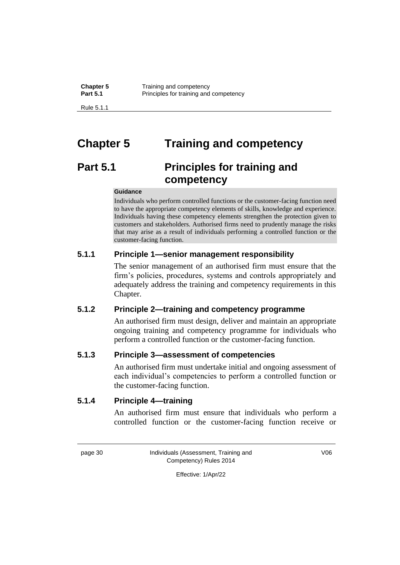Rule 5.1.1

# **Chapter 5 Training and competency**

# **Part 5.1 Principles for training and competency**

#### **Guidance**

Individuals who perform controlled functions or the customer-facing function need to have the appropriate competency elements of skills, knowledge and experience. Individuals having these competency elements strengthen the protection given to customers and stakeholders. Authorised firms need to prudently manage the risks that may arise as a result of individuals performing a controlled function or the customer-facing function.

## **5.1.1 Principle 1—senior management responsibility**

The senior management of an authorised firm must ensure that the firm's policies, procedures, systems and controls appropriately and adequately address the training and competency requirements in this Chapter.

### **5.1.2 Principle 2—training and competency programme**

An authorised firm must design, deliver and maintain an appropriate ongoing training and competency programme for individuals who perform a controlled function or the customer-facing function.

### **5.1.3 Principle 3—assessment of competencies**

An authorised firm must undertake initial and ongoing assessment of each individual's competencies to perform a controlled function or the customer-facing function.

### **5.1.4 Principle 4—training**

An authorised firm must ensure that individuals who perform a controlled function or the customer-facing function receive or

page 30 Individuals (Assessment, Training and Competency) Rules 2014

V06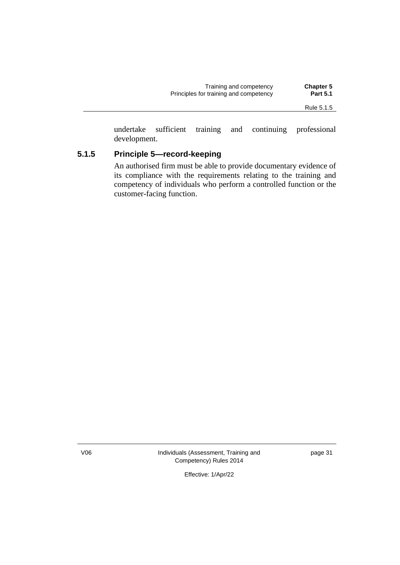| Training and competency                | <b>Chapter 5</b> |
|----------------------------------------|------------------|
| Principles for training and competency | <b>Part 5.1</b>  |
|                                        |                  |

undertake sufficient training and continuing professional development.

# **5.1.5 Principle 5—record-keeping**

An authorised firm must be able to provide documentary evidence of its compliance with the requirements relating to the training and competency of individuals who perform a controlled function or the customer-facing function.

V06 Individuals (Assessment, Training and Competency) Rules 2014

page 31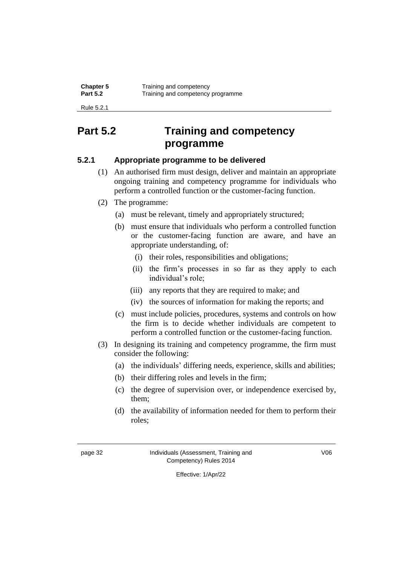Rule 5.2.1

# **Part 5.2 Training and competency programme**

# **5.2.1 Appropriate programme to be delivered**

- (1) An authorised firm must design, deliver and maintain an appropriate ongoing training and competency programme for individuals who perform a controlled function or the customer-facing function.
- (2) The programme:
	- (a) must be relevant, timely and appropriately structured;
	- (b) must ensure that individuals who perform a controlled function or the customer-facing function are aware, and have an appropriate understanding, of:
		- (i) their roles, responsibilities and obligations;
		- (ii) the firm's processes in so far as they apply to each individual's role;
		- (iii) any reports that they are required to make; and
		- (iv) the sources of information for making the reports; and
	- (c) must include policies, procedures, systems and controls on how the firm is to decide whether individuals are competent to perform a controlled function or the customer-facing function.
- (3) In designing its training and competency programme, the firm must consider the following:
	- (a) the individuals' differing needs, experience, skills and abilities;
	- (b) their differing roles and levels in the firm;
	- (c) the degree of supervision over, or independence exercised by, them;
	- (d) the availability of information needed for them to perform their roles;

page 32 Individuals (Assessment, Training and Competency) Rules 2014

V06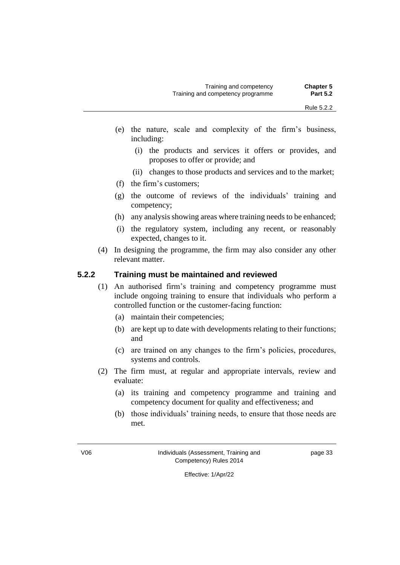- (e) the nature, scale and complexity of the firm's business, including:
	- (i) the products and services it offers or provides, and proposes to offer or provide; and
	- (ii) changes to those products and services and to the market;
- (f) the firm's customers;
- (g) the outcome of reviews of the individuals' training and competency;
- (h) any analysis showing areas where training needs to be enhanced;
- (i) the regulatory system, including any recent, or reasonably expected, changes to it.
- (4) In designing the programme, the firm may also consider any other relevant matter.

### **5.2.2 Training must be maintained and reviewed**

- (1) An authorised firm's training and competency programme must include ongoing training to ensure that individuals who perform a controlled function or the customer-facing function:
	- (a) maintain their competencies;
	- (b) are kept up to date with developments relating to their functions; and
	- (c) are trained on any changes to the firm's policies, procedures, systems and controls.
- (2) The firm must, at regular and appropriate intervals, review and evaluate:
	- (a) its training and competency programme and training and competency document for quality and effectiveness; and
	- (b) those individuals' training needs, to ensure that those needs are met.

page 33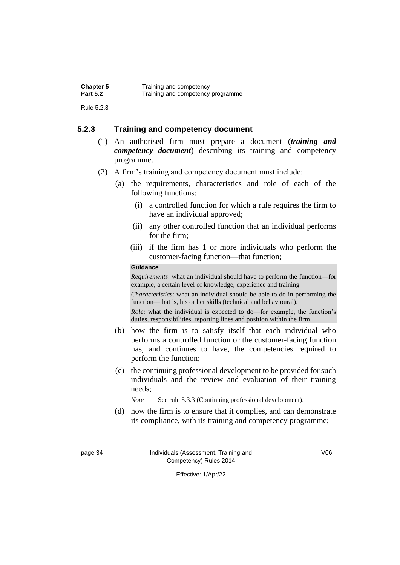| <b>Chapter 5</b> | Training and competency           |
|------------------|-----------------------------------|
| <b>Part 5.2</b>  | Training and competency programme |

Rule 5.2.3

### **5.2.3 Training and competency document**

- (1) An authorised firm must prepare a document (*training and competency document*) describing its training and competency programme.
- (2) A firm's training and competency document must include:
	- (a) the requirements, characteristics and role of each of the following functions:
		- (i) a controlled function for which a rule requires the firm to have an individual approved;
		- (ii) any other controlled function that an individual performs for the firm;
		- (iii) if the firm has 1 or more individuals who perform the customer-facing function—that function;

#### **Guidance**

*Requirements*: what an individual should have to perform the function—for example, a certain level of knowledge, experience and training

*Characteristics*: what an individual should be able to do in performing the function—that is, his or her skills (technical and behavioural).

*Role*: what the individual is expected to do—for example, the function's duties, responsibilities, reporting lines and position within the firm.

- (b) how the firm is to satisfy itself that each individual who performs a controlled function or the customer-facing function has, and continues to have, the competencies required to perform the function;
- (c) the continuing professional development to be provided for such individuals and the review and evaluation of their training needs;

*Note* See rule 5.3.3 (Continuing professional development).

(d) how the firm is to ensure that it complies, and can demonstrate its compliance, with its training and competency programme;

page 34 Individuals (Assessment, Training and Competency) Rules 2014

V06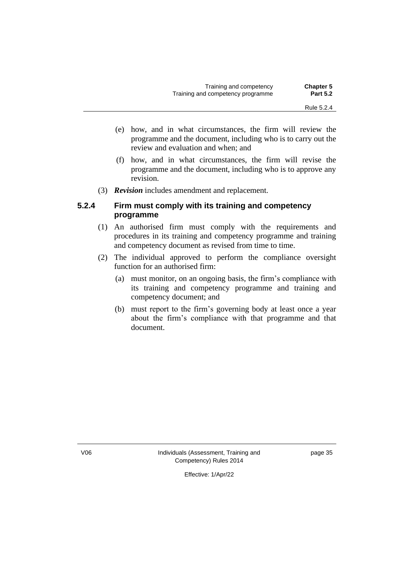| <b>Chapter 5</b> | Training and competency           |
|------------------|-----------------------------------|
| <b>Part 5.2</b>  | Training and competency programme |

- (e) how, and in what circumstances, the firm will review the programme and the document, including who is to carry out the review and evaluation and when; and
- (f) how, and in what circumstances, the firm will revise the programme and the document, including who is to approve any revision.
- (3) *Revision* includes amendment and replacement.

### **5.2.4 Firm must comply with its training and competency programme**

- (1) An authorised firm must comply with the requirements and procedures in its training and competency programme and training and competency document as revised from time to time.
- (2) The individual approved to perform the compliance oversight function for an authorised firm:
	- (a) must monitor, on an ongoing basis, the firm's compliance with its training and competency programme and training and competency document; and
	- (b) must report to the firm's governing body at least once a year about the firm's compliance with that programme and that document.

V06 Individuals (Assessment, Training and Competency) Rules 2014

page 35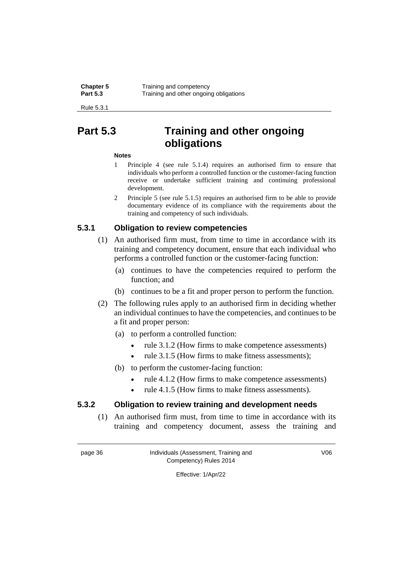Rule 5.3.1

# **Part 5.3 Training and other ongoing obligations**

### **Notes**

- 1 Principle 4 (see rule 5.1.4) requires an authorised firm to ensure that individuals who perform a controlled function or the customer-facing function receive or undertake sufficient training and continuing professional development.
- 2 Principle 5 (see rule 5.1.5) requires an authorised firm to be able to provide documentary evidence of its compliance with the requirements about the training and competency of such individuals.

## **5.3.1 Obligation to review competencies**

- (1) An authorised firm must, from time to time in accordance with its training and competency document, ensure that each individual who performs a controlled function or the customer-facing function:
	- (a) continues to have the competencies required to perform the function; and
	- (b) continues to be a fit and proper person to perform the function.
- (2) The following rules apply to an authorised firm in deciding whether an individual continues to have the competencies, and continues to be a fit and proper person:
	- (a) to perform a controlled function:
		- rule 3.1.2 (How firms to make competence assessments)
		- rule 3.1.5 (How firms to make fitness assessments);
	- (b) to perform the customer-facing function:
		- rule 4.1.2 (How firms to make competence assessments)
		- rule 4.1.5 (How firms to make fitness assessments).

# **5.3.2 Obligation to review training and development needs**

(1) An authorised firm must, from time to time in accordance with its training and competency document, assess the training and

page 36 Individuals (Assessment, Training and Competency) Rules 2014

V06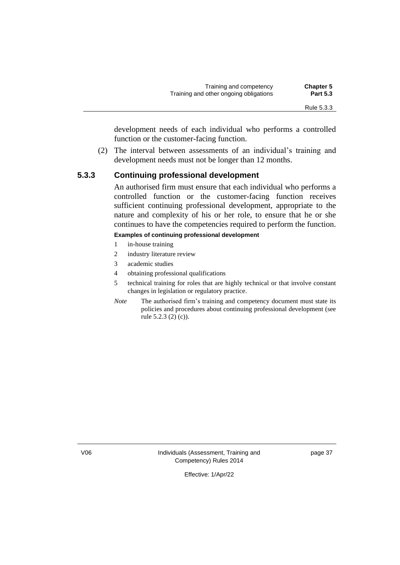development needs of each individual who performs a controlled function or the customer-facing function.

(2) The interval between assessments of an individual's training and development needs must not be longer than 12 months.

### **5.3.3 Continuing professional development**

An authorised firm must ensure that each individual who performs a controlled function or the customer-facing function receives sufficient continuing professional development, appropriate to the nature and complexity of his or her role, to ensure that he or she continues to have the competencies required to perform the function.

### **Examples of continuing professional development**

- 1 in-house training
- 2 industry literature review
- 3 academic studies
- 4 obtaining professional qualifications
- 5 technical training for roles that are highly technical or that involve constant changes in legislation or regulatory practice.
- *Note* The authorised firm's training and competency document must state its policies and procedures about continuing professional development (see rule 5.2.3 (2) (c)).

V06 Individuals (Assessment, Training and Competency) Rules 2014

page 37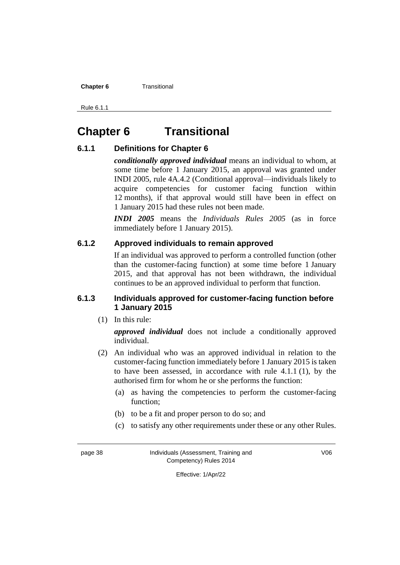**Chapter 6** Transitional

Rule 6.1.1

# **Chapter 6 Transitional**

### **6.1.1 Definitions for Chapter 6**

*conditionally approved individual* means an individual to whom, at some time before 1 January 2015, an approval was granted under INDI 2005, rule 4A.4.2 (Conditional approval—individuals likely to acquire competencies for customer facing function within 12 months), if that approval would still have been in effect on 1 January 2015 had these rules not been made.

*INDI 2005* means the *Individuals Rules 2005* (as in force immediately before 1 January 2015).

### **6.1.2 Approved individuals to remain approved**

If an individual was approved to perform a controlled function (other than the customer-facing function) at some time before 1 January 2015, and that approval has not been withdrawn, the individual continues to be an approved individual to perform that function.

### **6.1.3 Individuals approved for customer-facing function before 1 January 2015**

(1) In this rule:

*approved individual* does not include a conditionally approved individual.

- (2) An individual who was an approved individual in relation to the customer-facing function immediately before 1 January 2015 is taken to have been assessed, in accordance with rule 4.1.1 (1), by the authorised firm for whom he or she performs the function:
	- (a) as having the competencies to perform the customer-facing function;
	- (b) to be a fit and proper person to do so; and
	- (c) to satisfy any other requirements under these or any other Rules.

page 38 Individuals (Assessment, Training and Competency) Rules 2014

V06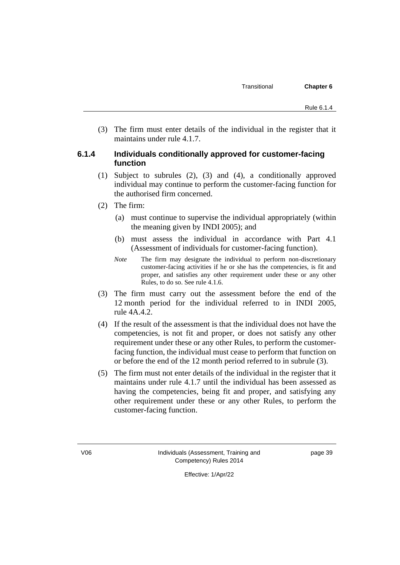(3) The firm must enter details of the individual in the register that it maintains under rule 4.1.7.

### **6.1.4 Individuals conditionally approved for customer-facing function**

- (1) Subject to subrules (2), (3) and (4), a conditionally approved individual may continue to perform the customer-facing function for the authorised firm concerned.
- (2) The firm:
	- (a) must continue to supervise the individual appropriately (within the meaning given by INDI 2005); and
	- (b) must assess the individual in accordance with Part 4.1 (Assessment of individuals for customer-facing function).
	- *Note* The firm may designate the individual to perform non-discretionary customer-facing activities if he or she has the competencies, is fit and proper, and satisfies any other requirement under these or any other Rules, to do so. See rule 4.1.6.
- (3) The firm must carry out the assessment before the end of the 12 month period for the individual referred to in INDI 2005, rule 4A.4.2.
- (4) If the result of the assessment is that the individual does not have the competencies, is not fit and proper, or does not satisfy any other requirement under these or any other Rules, to perform the customerfacing function, the individual must cease to perform that function on or before the end of the 12 month period referred to in subrule (3).
- (5) The firm must not enter details of the individual in the register that it maintains under rule 4.1.7 until the individual has been assessed as having the competencies, being fit and proper, and satisfying any other requirement under these or any other Rules, to perform the customer-facing function.

page 39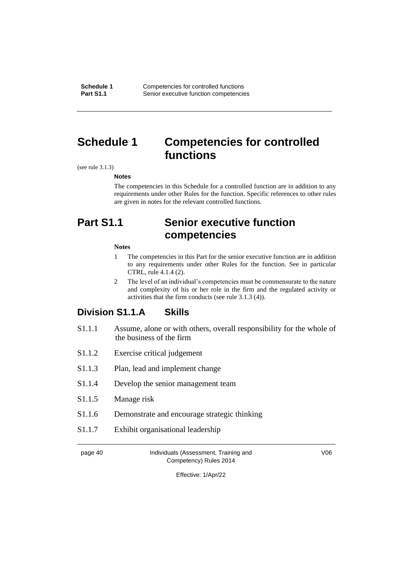**Schedule 1** Competencies for controlled functions<br> **Part S1.1** Senior executive function competencie **Senior executive function competencies** 

# **Schedule 1 Competencies for controlled functions**

(see rule 3.1.3)

**Notes**

The competencies in this Schedule for a controlled function are in addition to any requirements under other Rules for the function. Specific references to other rules are given in notes for the relevant controlled functions.

# **Part S1.1 Senior executive function competencies**

#### **Notes**

- 1 The competencies in this Part for the senior executive function are in addition to any requirements under other Rules for the function. See in particular CTRL, rule 4.1.4 (2).
- 2 The level of an individual's competencies must be commensurate to the nature and complexity of his or her role in the firm and the regulated activity or activities that the firm conducts (see rule 3.1.3 (4)).

# **Division S1.1.A Skills**

- S1.1.1 Assume, alone or with others, overall responsibility for the whole of the business of the firm
- S1.1.2 Exercise critical judgement
- S1.1.3 Plan, lead and implement change
- S1.1.4 Develop the senior management team
- S1.1.5 Manage risk
- S1.1.6 Demonstrate and encourage strategic thinking
- S1.1.7 Exhibit organisational leadership

page 40 Individuals (Assessment, Training and Competency) Rules 2014

V06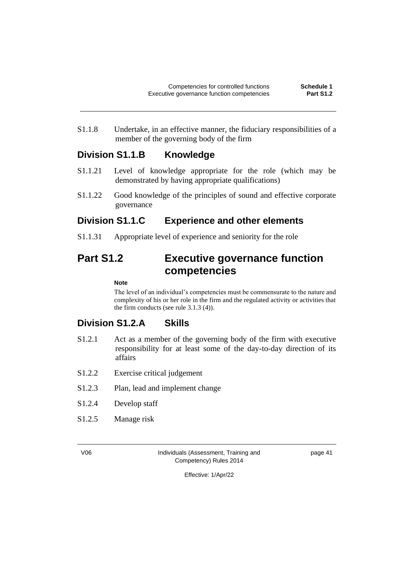S1.1.8 Undertake, in an effective manner, the fiduciary responsibilities of a member of the governing body of the firm

# **Division S1.1.B Knowledge**

- S1.1.21 Level of knowledge appropriate for the role (which may be demonstrated by having appropriate qualifications)
- S1.1.22 Good knowledge of the principles of sound and effective corporate governance

# **Division S1.1.C Experience and other elements**

S1.1.31 Appropriate level of experience and seniority for the role

# **Part S1.2 Executive governance function competencies**

### **Note**

The level of an individual's competencies must be commensurate to the nature and complexity of his or her role in the firm and the regulated activity or activities that the firm conducts (see rule 3.1.3 (4)).

# **Division S1.2.A Skills**

- S1.2.1 Act as a member of the governing body of the firm with executive responsibility for at least some of the day-to-day direction of its affairs
- S1.2.2 Exercise critical judgement
- S1.2.3 Plan, lead and implement change
- S1.2.4 Develop staff
- S1.2.5 Manage risk

V06 Individuals (Assessment, Training and Competency) Rules 2014

page 41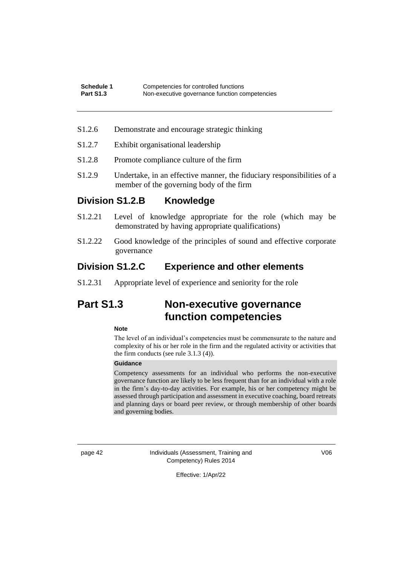- S1.2.6 Demonstrate and encourage strategic thinking
- S1.2.7 Exhibit organisational leadership
- S1.2.8 Promote compliance culture of the firm
- S1.2.9 Undertake, in an effective manner, the fiduciary responsibilities of a member of the governing body of the firm

# **Division S1.2.B Knowledge**

- S1.2.21 Level of knowledge appropriate for the role (which may be demonstrated by having appropriate qualifications)
- S1.2.22 Good knowledge of the principles of sound and effective corporate governance

# **Division S1.2.C Experience and other elements**

S1.2.31 Appropriate level of experience and seniority for the role

# **Part S1.3 Non-executive governance function competencies**

#### **Note**

The level of an individual's competencies must be commensurate to the nature and complexity of his or her role in the firm and the regulated activity or activities that the firm conducts (see rule 3.1.3 (4)).

### **Guidance**

Competency assessments for an individual who performs the non-executive governance function are likely to be less frequent than for an individual with a role in the firm's day-to-day activities. For example, his or her competency might be assessed through participation and assessment in executive coaching, board retreats and planning days or board peer review, or through membership of other boards and governing bodies.

page 42 Individuals (Assessment, Training and Competency) Rules 2014

V06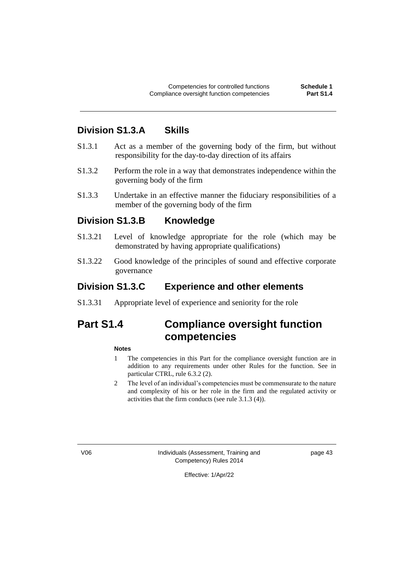# **Division S1.3.A Skills**

- S1.3.1 Act as a member of the governing body of the firm, but without responsibility for the day-to-day direction of its affairs
- S1.3.2 Perform the role in a way that demonstrates independence within the governing body of the firm
- S1.3.3 Undertake in an effective manner the fiduciary responsibilities of a member of the governing body of the firm

### **Division S1.3.B Knowledge**

- S1.3.21 Level of knowledge appropriate for the role (which may be demonstrated by having appropriate qualifications)
- S1.3.22 Good knowledge of the principles of sound and effective corporate governance

## **Division S1.3.C Experience and other elements**

S1.3.31 Appropriate level of experience and seniority for the role

# **Part S1.4 Compliance oversight function competencies**

#### **Notes**

- 1 The competencies in this Part for the compliance oversight function are in addition to any requirements under other Rules for the function. See in particular CTRL, rule 6.3.2 (2).
- 2 The level of an individual's competencies must be commensurate to the nature and complexity of his or her role in the firm and the regulated activity or activities that the firm conducts (see rule 3.1.3 (4)).

V06 Individuals (Assessment, Training and Competency) Rules 2014

page 43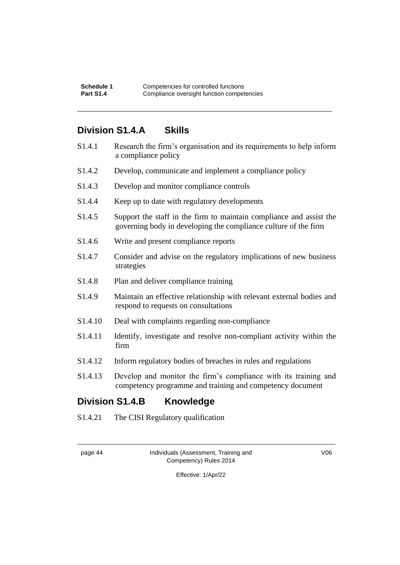# **Division S1.4.A Skills**

| S1.4.1                                     | Research the firm's organisation and its requirements to help inform<br>a compliance policy                                            |
|--------------------------------------------|----------------------------------------------------------------------------------------------------------------------------------------|
| S1.4.2                                     | Develop, communicate and implement a compliance policy                                                                                 |
| S <sub>1.4.3</sub>                         | Develop and monitor compliance controls                                                                                                |
| S <sub>1.4.4</sub>                         | Keep up to date with regulatory developments                                                                                           |
| S1.4.5                                     | Support the staff in the firm to maintain compliance and assist the<br>governing body in developing the compliance culture of the firm |
| S <sub>1.4.6</sub>                         | Write and present compliance reports                                                                                                   |
| S1.4.7                                     | Consider and advise on the regulatory implications of new business<br>strategies                                                       |
| S <sub>1.4.8</sub>                         | Plan and deliver compliance training                                                                                                   |
| S1.4.9                                     | Maintain an effective relationship with relevant external bodies and<br>respond to requests on consultations                           |
| S1.4.10                                    | Deal with complaints regarding non-compliance                                                                                          |
| S1.4.11                                    | Identify, investigate and resolve non-compliant activity within the<br>firm                                                            |
| S <sub>1.4.12</sub>                        | Inform regulatory bodies of breaches in rules and regulations                                                                          |
| S1.4.13                                    | Develop and monitor the firm's compliance with its training and<br>competency programme and training and competency document           |
| <b>Division S1.4.B</b><br><b>Knowledge</b> |                                                                                                                                        |

S1.4.21 The CISI Regulatory qualification

| חוזו<br>ю<br>. . |  |
|------------------|--|
|------------------|--|

Individuals (Assessment, Training and Competency) Rules 2014

V06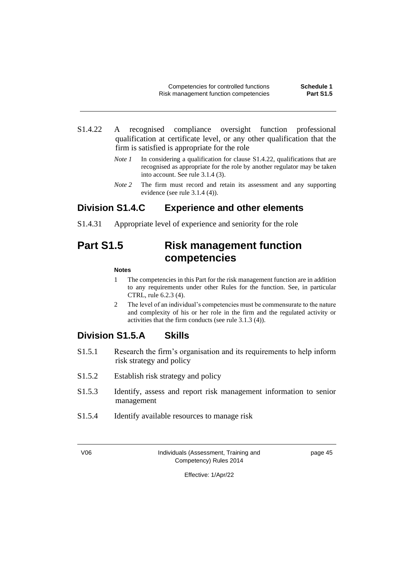- S1.4.22 A recognised compliance oversight function professional qualification at certificate level, or any other qualification that the firm is satisfied is appropriate for the role
	- *Note 1* In considering a qualification for clause S1.4.22, qualifications that are recognised as appropriate for the role by another regulator may be taken into account. See rule 3.1.4 (3).
	- *Note* 2 The firm must record and retain its assessment and any supporting evidence (see rule 3.1.4 (4)).

# **Division S1.4.C Experience and other elements**

S1.4.31 Appropriate level of experience and seniority for the role

# **Part S1.5 Risk management function competencies**

#### **Notes**

- 1 The competencies in this Part for the risk management function are in addition to any requirements under other Rules for the function. See, in particular CTRL, rule 6.2.3 (4).
- 2 The level of an individual's competencies must be commensurate to the nature and complexity of his or her role in the firm and the regulated activity or activities that the firm conducts (see rule 3.1.3 (4)).

# **Division S1.5.A Skills**

- S1.5.1 Research the firm's organisation and its requirements to help inform risk strategy and policy
- S1.5.2 Establish risk strategy and policy
- S1.5.3 Identify, assess and report risk management information to senior management
- S1.5.4 Identify available resources to manage risk

V06 Individuals (Assessment, Training and Competency) Rules 2014

page 45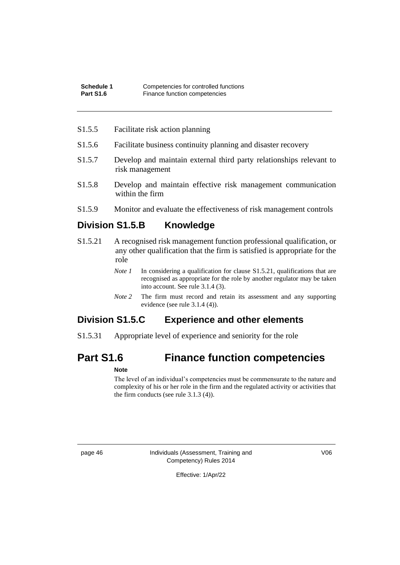### S1.5.5 Facilitate risk action planning

- S1.5.6 Facilitate business continuity planning and disaster recovery
- S1.5.7 Develop and maintain external third party relationships relevant to risk management
- S1.5.8 Develop and maintain effective risk management communication within the firm
- S1.5.9 Monitor and evaluate the effectiveness of risk management controls

# **Division S1.5.B Knowledge**

- S1.5.21 A recognised risk management function professional qualification, or any other qualification that the firm is satisfied is appropriate for the role
	- *Note 1* In considering a qualification for clause S1.5.21, qualifications that are recognised as appropriate for the role by another regulator may be taken into account. See rule 3.1.4 (3).
	- *Note* 2 The firm must record and retain its assessment and any supporting evidence (see rule 3.1.4 (4)).

# **Division S1.5.C Experience and other elements**

S1.5.31 Appropriate level of experience and seniority for the role

# **Part S1.6 Finance function competencies**

#### **Note**

The level of an individual's competencies must be commensurate to the nature and complexity of his or her role in the firm and the regulated activity or activities that the firm conducts (see rule 3.1.3 (4)).

page 46 Individuals (Assessment, Training and Competency) Rules 2014

V06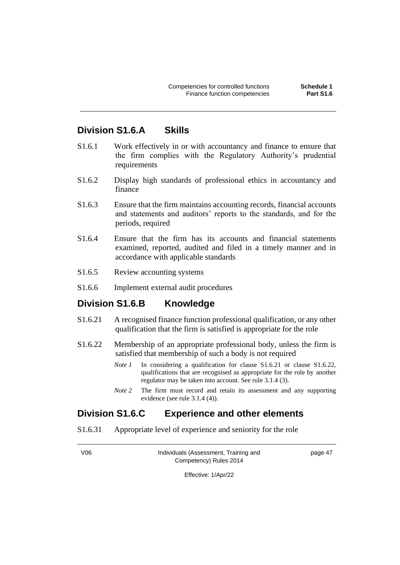# **Division S1.6.A Skills**

- S1.6.1 Work effectively in or with accountancy and finance to ensure that the firm complies with the Regulatory Authority's prudential requirements
- S1.6.2 Display high standards of professional ethics in accountancy and finance
- S1.6.3 Ensure that the firm maintains accounting records, financial accounts and statements and auditors' reports to the standards, and for the periods, required
- S1.6.4 Ensure that the firm has its accounts and financial statements examined, reported, audited and filed in a timely manner and in accordance with applicable standards
- S1.6.5 Review accounting systems
- S1.6.6 Implement external audit procedures

## **Division S1.6.B Knowledge**

- S1.6.21 A recognised finance function professional qualification, or any other qualification that the firm is satisfied is appropriate for the role
- S1.6.22 Membership of an appropriate professional body, unless the firm is satisfied that membership of such a body is not required
	- *Note 1* In considering a qualification for clause S1.6.21 or clause S1.6.22, qualifications that are recognised as appropriate for the role by another regulator may be taken into account. See rule 3.1.4 (3).
	- *Note* 2 The firm must record and retain its assessment and any supporting evidence (see rule 3.1.4 (4)).

## **Division S1.6.C Experience and other elements**

S1.6.31 Appropriate level of experience and seniority for the role

V06 Individuals (Assessment, Training and Competency) Rules 2014

page 47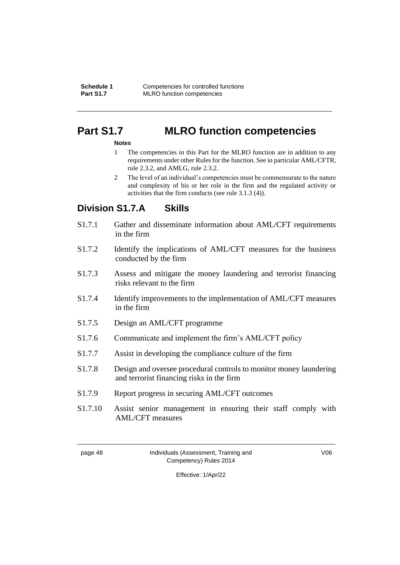# **Part S1.7 MLRO function competencies**

#### **Notes**

- 1 The competencies in this Part for the MLRO function are in addition to any requirements under other Rules for the function. See in particular AML/CFTR, rule 2.3.2, and AMLG, rule 2.3.2.
- 2 The level of an individual's competencies must be commensurate to the nature and complexity of his or her role in the firm and the regulated activity or activities that the firm conducts (see rule 3.1.3 (4)).

# **Division S1.7.A Skills**

- S1.7.1 Gather and disseminate information about AML/CFT requirements in the firm
- S1.7.2 Identify the implications of AML/CFT measures for the business conducted by the firm
- S1.7.3 Assess and mitigate the money laundering and terrorist financing risks relevant to the firm
- S1.7.4 Identify improvements to the implementation of AML/CFT measures in the firm
- S1.7.5 Design an AML/CFT programme
- S1.7.6 Communicate and implement the firm's AML/CFT policy
- S1.7.7 Assist in developing the compliance culture of the firm
- S1.7.8 Design and oversee procedural controls to monitor money laundering and terrorist financing risks in the firm
- S1.7.9 Report progress in securing AML/CFT outcomes
- S1.7.10 Assist senior management in ensuring their staff comply with AML/CFT measures

page 48 Individuals (Assessment, Training and Competency) Rules 2014

V06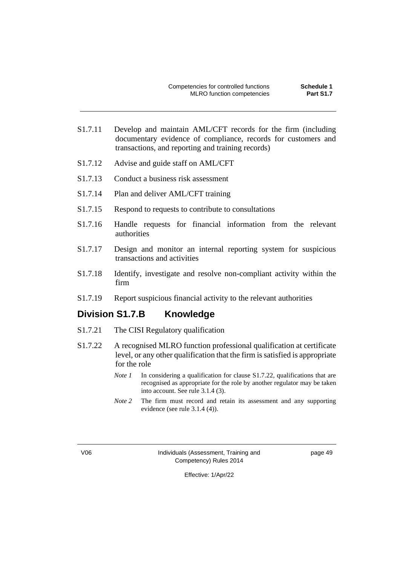- S1.7.11 Develop and maintain AML/CFT records for the firm (including documentary evidence of compliance, records for customers and transactions, and reporting and training records)
- S1.7.12 Advise and guide staff on AML/CFT
- S1.7.13 Conduct a business risk assessment
- S1.7.14 Plan and deliver AML/CFT training
- S1.7.15 Respond to requests to contribute to consultations
- S1.7.16 Handle requests for financial information from the relevant authorities
- S1.7.17 Design and monitor an internal reporting system for suspicious transactions and activities
- S1.7.18 Identify, investigate and resolve non-compliant activity within the firm
- S1.7.19 Report suspicious financial activity to the relevant authorities

# **Division S1.7.B Knowledge**

- S1.7.21 The CISI Regulatory qualification
- S1.7.22 A recognised MLRO function professional qualification at certificate level, or any other qualification that the firm is satisfied is appropriate for the role
	- *Note 1* In considering a qualification for clause S1.7.22, qualifications that are recognised as appropriate for the role by another regulator may be taken into account. See rule 3.1.4 (3).
	- *Note* 2 The firm must record and retain its assessment and any supporting evidence (see rule 3.1.4 (4)).

V06 Individuals (Assessment, Training and Competency) Rules 2014

page 49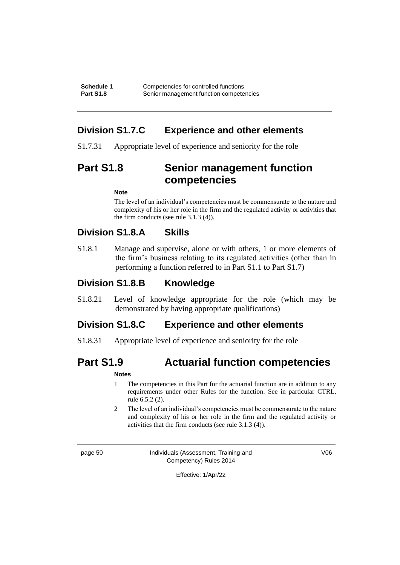# **Division S1.7.C Experience and other elements**

S1.7.31 Appropriate level of experience and seniority for the role

# **Part S1.8 Senior management function competencies**

#### **Note**

The level of an individual's competencies must be commensurate to the nature and complexity of his or her role in the firm and the regulated activity or activities that the firm conducts (see rule 3.1.3 (4)).

# **Division S1.8.A Skills**

S1.8.1 Manage and supervise, alone or with others, 1 or more elements of the firm's business relating to its regulated activities (other than in performing a function referred to in Part S1.1 to Part S1.7)

# **Division S1.8.B Knowledge**

S1.8.21 Level of knowledge appropriate for the role (which may be demonstrated by having appropriate qualifications)

# **Division S1.8.C Experience and other elements**

S1.8.31 Appropriate level of experience and seniority for the role

# **Part S1.9 Actuarial function competencies**

### **Notes**

- 1 The competencies in this Part for the actuarial function are in addition to any requirements under other Rules for the function. See in particular CTRL, rule 6.5.2 (2).
- 2 The level of an individual's competencies must be commensurate to the nature and complexity of his or her role in the firm and the regulated activity or activities that the firm conducts (see rule 3.1.3 (4)).

page 50 Individuals (Assessment, Training and Competency) Rules 2014

V06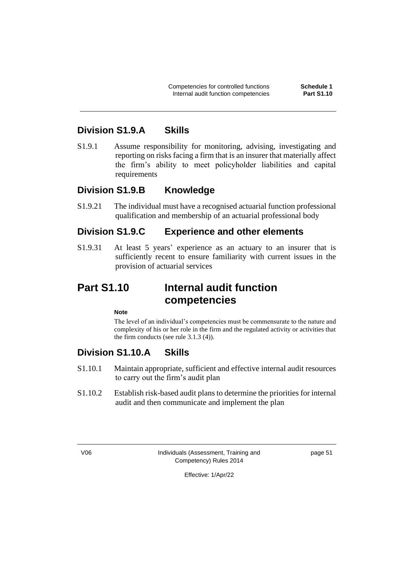# **Division S1.9.A Skills**

S1.9.1 Assume responsibility for monitoring, advising, investigating and reporting on risks facing a firm that is an insurer that materially affect the firm's ability to meet policyholder liabilities and capital requirements

# **Division S1.9.B Knowledge**

S1.9.21 The individual must have a recognised actuarial function professional qualification and membership of an actuarial professional body

# **Division S1.9.C Experience and other elements**

S1.9.31 At least 5 years' experience as an actuary to an insurer that is sufficiently recent to ensure familiarity with current issues in the provision of actuarial services

# **Part S1.10 Internal audit function competencies**

**Note**

The level of an individual's competencies must be commensurate to the nature and complexity of his or her role in the firm and the regulated activity or activities that the firm conducts (see rule 3.1.3 (4)).

# **Division S1.10.A Skills**

- S1.10.1 Maintain appropriate, sufficient and effective internal audit resources to carry out the firm's audit plan
- S1.10.2 Establish risk-based audit plans to determine the priorities for internal audit and then communicate and implement the plan

V06 Individuals (Assessment, Training and Competency) Rules 2014

page 51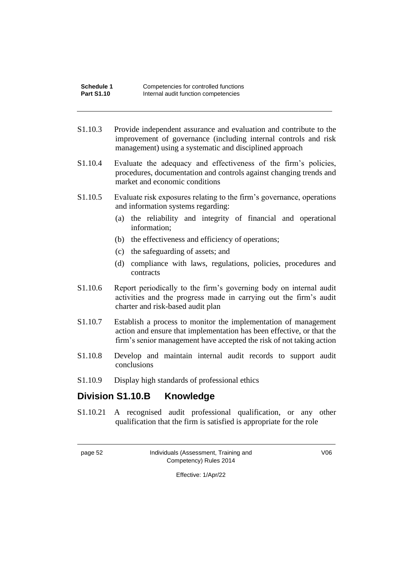- S1.10.3 Provide independent assurance and evaluation and contribute to the improvement of governance (including internal controls and risk management) using a systematic and disciplined approach
- S1.10.4 Evaluate the adequacy and effectiveness of the firm's policies, procedures, documentation and controls against changing trends and market and economic conditions
- S1.10.5 Evaluate risk exposures relating to the firm's governance, operations and information systems regarding:
	- (a) the reliability and integrity of financial and operational information;
	- (b) the effectiveness and efficiency of operations;
	- (c) the safeguarding of assets; and
	- (d) compliance with laws, regulations, policies, procedures and contracts
- S1.10.6 Report periodically to the firm's governing body on internal audit activities and the progress made in carrying out the firm's audit charter and risk-based audit plan
- S1.10.7 Establish a process to monitor the implementation of management action and ensure that implementation has been effective, or that the firm's senior management have accepted the risk of not taking action
- S1.10.8 Develop and maintain internal audit records to support audit conclusions
- S1.10.9 Display high standards of professional ethics

# **Division S1.10.B Knowledge**

S1.10.21 A recognised audit professional qualification, or any other qualification that the firm is satisfied is appropriate for the role

page 52 Individuals (Assessment, Training and Competency) Rules 2014

V06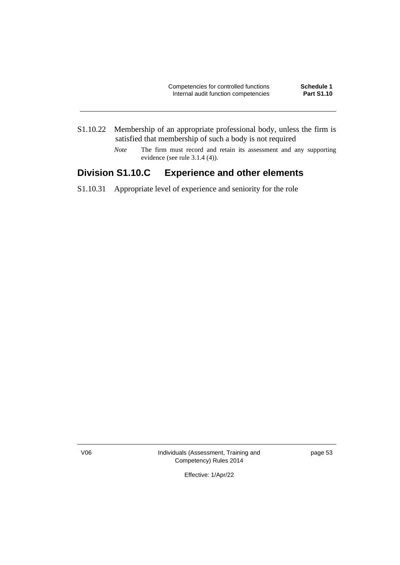- S1.10.22 Membership of an appropriate professional body, unless the firm is satisfied that membership of such a body is not required
	- *Note* The firm must record and retain its assessment and any supporting evidence (see rule 3.1.4 (4)).

# **Division S1.10.C Experience and other elements**

S1.10.31 Appropriate level of experience and seniority for the role

V06 Individuals (Assessment, Training and Competency) Rules 2014

page 53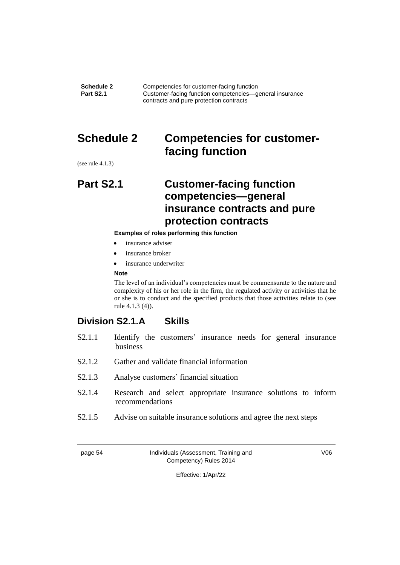**Schedule 2** Competencies for customer-facing function<br> **Part S2.1** Customer-facing function competencies—a **Part Customer-facing function competencies—general insurance** contracts and pure protection contracts

# **Schedule 2 Competencies for customerfacing function**

(see rule 4.1.3)

# **Part S2.1 Customer-facing function competencies—general insurance contracts and pure protection contracts**

#### **Examples of roles performing this function**

- insurance adviser
- insurance broker
- insurance underwriter

#### **Note**

The level of an individual's competencies must be commensurate to the nature and complexity of his or her role in the firm, the regulated activity or activities that he or she is to conduct and the specified products that those activities relate to (see rule 4.1.3 (4)).

# **Division S2.1.A Skills**

- S2.1.1 Identify the customers' insurance needs for general insurance business
- S2.1.2 Gather and validate financial information
- S2.1.3 Analyse customers' financial situation
- S2.1.4 Research and select appropriate insurance solutions to inform recommendations
- S2.1.5 Advise on suitable insurance solutions and agree the next steps

| nage |  |
|------|--|
|------|--|

#### Individuals (Assessment, Training and Competency) Rules 2014

V06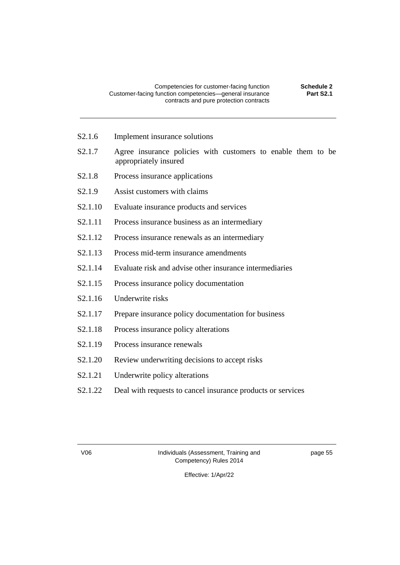- S2.1.6 Implement insurance solutions
- S2.1.7 Agree insurance policies with customers to enable them to be appropriately insured
- S2.1.8 Process insurance applications
- S2.1.9 Assist customers with claims
- S2.1.10 Evaluate insurance products and services
- S2.1.11 Process insurance business as an intermediary
- S2.1.12 Process insurance renewals as an intermediary
- S2.1.13 Process mid-term insurance amendments
- S2.1.14 Evaluate risk and advise other insurance intermediaries
- S2.1.15 Process insurance policy documentation
- S2.1.16 Underwrite risks
- S2.1.17 Prepare insurance policy documentation for business
- S2.1.18 Process insurance policy alterations
- S2.1.19 Process insurance renewals
- S2.1.20 Review underwriting decisions to accept risks
- S2.1.21 Underwrite policy alterations
- S2.1.22 Deal with requests to cancel insurance products or services

V06 Individuals (Assessment, Training and Competency) Rules 2014

page 55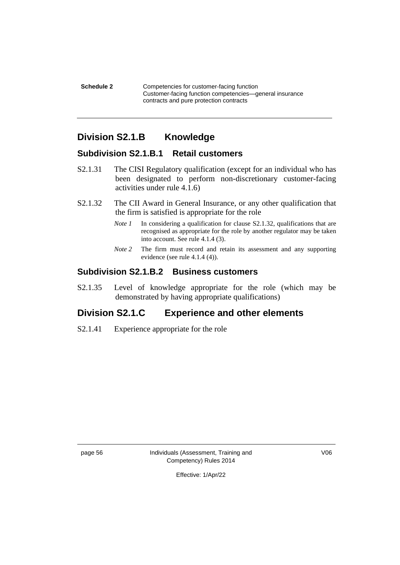**Schedule 2** Competencies for customer-facing function Customer-facing function competencies—general insurance contracts and pure protection contracts

# **Division S2.1.B Knowledge**

## **Subdivision S2.1.B.1 Retail customers**

- S2.1.31 The CISI Regulatory qualification (except for an individual who has been designated to perform non-discretionary customer-facing activities under rule 4.1.6)
- S2.1.32 The CII Award in General Insurance, or any other qualification that the firm is satisfied is appropriate for the role
	- *Note 1* In considering a qualification for clause S2.1.32, qualifications that are recognised as appropriate for the role by another regulator may be taken into account. See rule 4.1.4 (3).
	- *Note* 2 The firm must record and retain its assessment and any supporting evidence (see rule 4.1.4 (4)).

## **Subdivision S2.1.B.2 Business customers**

S2.1.35 Level of knowledge appropriate for the role (which may be demonstrated by having appropriate qualifications)

# **Division S2.1.C Experience and other elements**

S2.1.41 Experience appropriate for the role

page 56 Individuals (Assessment, Training and Competency) Rules 2014

V06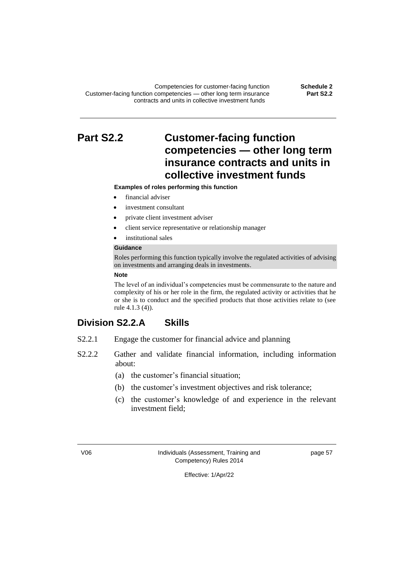Competencies for customer-facing function **Schedule 2** Customer-facing function competencies — other long term insurance contracts and units in collective investment funds

**Part S2.2**

# **Part S2.2 Customer-facing function competencies — other long term insurance contracts and units in collective investment funds**

#### **Examples of roles performing this function**

- financial adviser
- investment consultant
- private client investment adviser
- client service representative or relationship manager
- institutional sales

#### **Guidance**

Roles performing this function typically involve the regulated activities of advising on investments and arranging deals in investments.

#### **Note**

The level of an individual's competencies must be commensurate to the nature and complexity of his or her role in the firm, the regulated activity or activities that he or she is to conduct and the specified products that those activities relate to (see rule 4.1.3 (4)).

# **Division S2.2.A Skills**

- S2.2.1 Engage the customer for financial advice and planning
- S2.2.2 Gather and validate financial information, including information about:
	- (a) the customer's financial situation;
	- (b) the customer's investment objectives and risk tolerance;
	- (c) the customer's knowledge of and experience in the relevant investment field;

V06 Individuals (Assessment, Training and Competency) Rules 2014

page 57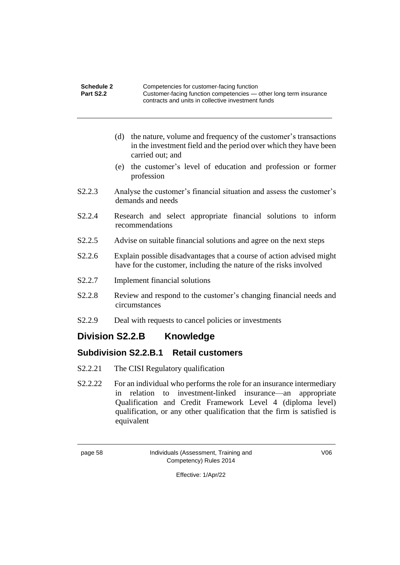| Schedule 2 | Competencies for customer-facing function                         |
|------------|-------------------------------------------------------------------|
| Part S2.2  | Customer-facing function competencies — other long term insurance |
|            | contracts and units in collective investment funds                |

- (d) the nature, volume and frequency of the customer's transactions in the investment field and the period over which they have been carried out; and
- (e) the customer's level of education and profession or former profession
- S2.2.3 Analyse the customer's financial situation and assess the customer's demands and needs
- S2.2.4 Research and select appropriate financial solutions to inform recommendations
- S2.2.5 Advise on suitable financial solutions and agree on the next steps
- S2.2.6 Explain possible disadvantages that a course of action advised might have for the customer, including the nature of the risks involved
- S2.2.7 Implement financial solutions
- S2.2.8 Review and respond to the customer's changing financial needs and circumstances
- S2.2.9 Deal with requests to cancel policies or investments

# **Division S2.2.B Knowledge**

# **Subdivision S2.2.B.1 Retail customers**

- S2.2.21 The CISI Regulatory qualification
- S2.2.22 For an individual who performs the role for an insurance intermediary in relation to investment-linked insurance—an appropriate Qualification and Credit Framework Level 4 (diploma level) qualification, or any other qualification that the firm is satisfied is equivalent

page 58 Individuals (Assessment, Training and Competency) Rules 2014

V06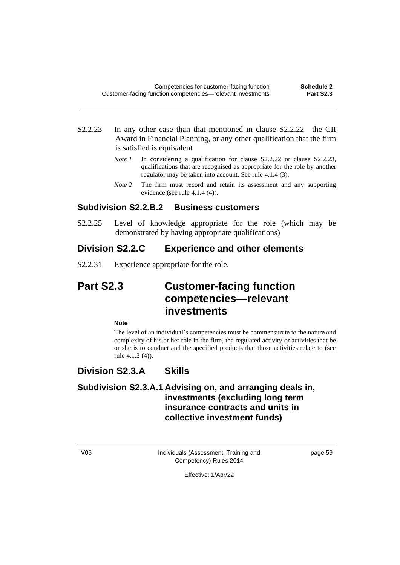- S2.2.23 In any other case than that mentioned in clause S2.2.22—the CII Award in Financial Planning, or any other qualification that the firm is satisfied is equivalent
	- *Note 1* In considering a qualification for clause S2.2.22 or clause S2.2.23, qualifications that are recognised as appropriate for the role by another regulator may be taken into account. See rule 4.1.4 (3).
	- *Note* 2 The firm must record and retain its assessment and any supporting evidence (see rule 4.1.4 (4)).

### **Subdivision S2.2.B.2 Business customers**

S2.2.25 Level of knowledge appropriate for the role (which may be demonstrated by having appropriate qualifications)

## **Division S2.2.C Experience and other elements**

S2.2.31 Experience appropriate for the role.

# **Part S2.3 Customer-facing function competencies—relevant investments**

#### **Note**

The level of an individual's competencies must be commensurate to the nature and complexity of his or her role in the firm, the regulated activity or activities that he or she is to conduct and the specified products that those activities relate to (see rule 4.1.3 (4)).

# **Division S2.3.A Skills**

# **Subdivision S2.3.A.1 Advising on, and arranging deals in, investments (excluding long term insurance contracts and units in collective investment funds)**

V06 Individuals (Assessment, Training and Competency) Rules 2014

page 59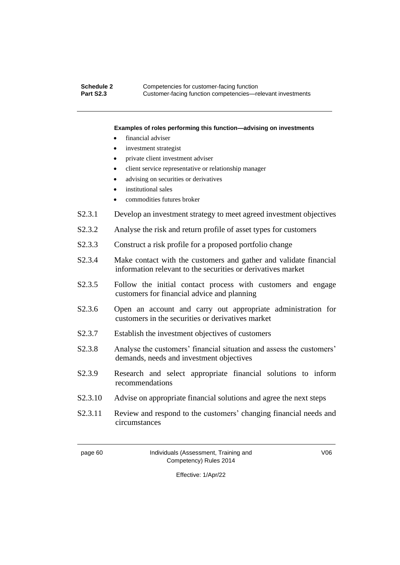#### **Schedule 2** Competencies for customer-facing function<br> **Part S2.3** Customer-facing function competencies—re **Part S2.3** Customer-facing function competencies—relevant investments

#### **Examples of roles performing this function—advising on investments**

- financial adviser
- investment strategist
- private client investment adviser
- client service representative or relationship manager
- advising on securities or derivatives
- institutional sales
- commodities futures broker
- S2.3.1 Develop an investment strategy to meet agreed investment objectives
- S2.3.2 Analyse the risk and return profile of asset types for customers
- S2.3.3 Construct a risk profile for a proposed portfolio change
- S2.3.4 Make contact with the customers and gather and validate financial information relevant to the securities or derivatives market
- S2.3.5 Follow the initial contact process with customers and engage customers for financial advice and planning
- S2.3.6 Open an account and carry out appropriate administration for customers in the securities or derivatives market
- S2.3.7 Establish the investment objectives of customers
- S2.3.8 Analyse the customers' financial situation and assess the customers' demands, needs and investment objectives
- S2.3.9 Research and select appropriate financial solutions to inform recommendations
- S2.3.10 Advise on appropriate financial solutions and agree the next steps
- S2.3.11 Review and respond to the customers' changing financial needs and circumstances

page 60 Individuals (Assessment, Training and Competency) Rules 2014

V06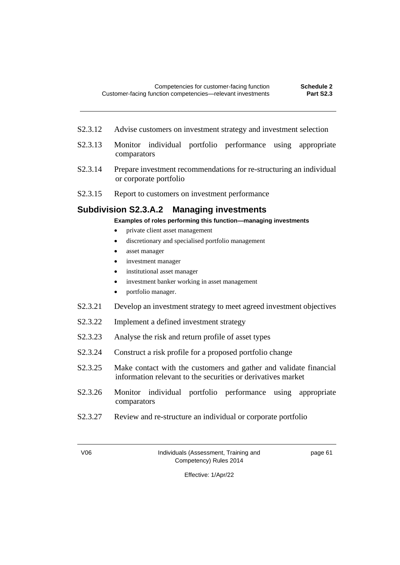- S2.3.12 Advise customers on investment strategy and investment selection
- S2.3.13 Monitor individual portfolio performance using appropriate comparators
- S2.3.14 Prepare investment recommendations for re-structuring an individual or corporate portfolio
- S2.3.15 Report to customers on investment performance

### **Subdivision S2.3.A.2 Managing investments**

**Examples of roles performing this function—managing investments**

- private client asset management
- discretionary and specialised portfolio management
- asset manager
- investment manager
- institutional asset manager
- investment banker working in asset management
- portfolio manager.
- S2.3.21 Develop an investment strategy to meet agreed investment objectives
- S2.3.22 Implement a defined investment strategy
- S2.3.23 Analyse the risk and return profile of asset types
- S2.3.24 Construct a risk profile for a proposed portfolio change
- S2.3.25 Make contact with the customers and gather and validate financial information relevant to the securities or derivatives market
- S2.3.26 Monitor individual portfolio performance using appropriate comparators
- S2.3.27 Review and re-structure an individual or corporate portfolio

V06 Individuals (Assessment, Training and Competency) Rules 2014

page 61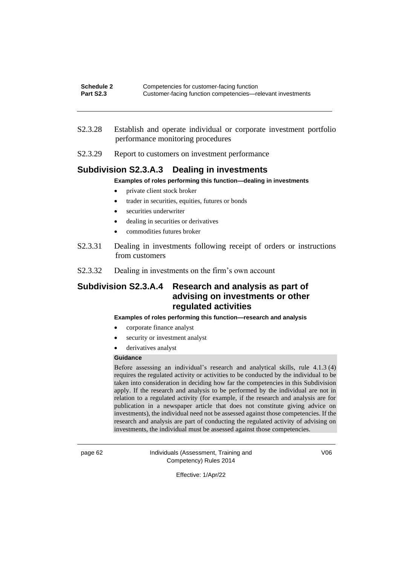- S2.3.28 Establish and operate individual or corporate investment portfolio performance monitoring procedures
- S2.3.29 Report to customers on investment performance

### **Subdivision S2.3.A.3 Dealing in investments**

**Examples of roles performing this function—dealing in investments**

- private client stock broker
- trader in securities, equities, futures or bonds
- securities underwriter
- dealing in securities or derivatives
- commodities futures broker
- S2.3.31 Dealing in investments following receipt of orders or instructions from customers
- S2.3.32 Dealing in investments on the firm's own account

## **Subdivision S2.3.A.4 Research and analysis as part of advising on investments or other regulated activities**

#### **Examples of roles performing this function—research and analysis**

- corporate finance analyst
- security or investment analyst
- derivatives analyst

#### **Guidance**

Before assessing an individual's research and analytical skills, rule 4.1.3 (4) requires the regulated activity or activities to be conducted by the individual to be taken into consideration in deciding how far the competencies in this Subdivision apply. If the research and analysis to be performed by the individual are not in relation to a regulated activity (for example, if the research and analysis are for publication in a newspaper article that does not constitute giving advice on investments), the individual need not be assessed against those competencies. If the research and analysis are part of conducting the regulated activity of advising on investments, the individual must be assessed against those competencies.

page 62 Individuals (Assessment, Training and Competency) Rules 2014

V06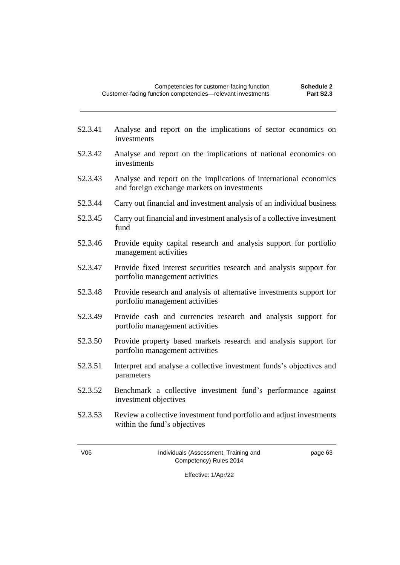- S2.3.41 Analyse and report on the implications of sector economics on investments
- S2.3.42 Analyse and report on the implications of national economics on investments
- S2.3.43 Analyse and report on the implications of international economics and foreign exchange markets on investments
- S2.3.44 Carry out financial and investment analysis of an individual business
- S2.3.45 Carry out financial and investment analysis of a collective investment fund
- S2.3.46 Provide equity capital research and analysis support for portfolio management activities
- S2.3.47 Provide fixed interest securities research and analysis support for portfolio management activities
- S2.3.48 Provide research and analysis of alternative investments support for portfolio management activities
- S2.3.49 Provide cash and currencies research and analysis support for portfolio management activities
- S2.3.50 Provide property based markets research and analysis support for portfolio management activities
- S2.3.51 Interpret and analyse a collective investment funds's objectives and parameters
- S2.3.52 Benchmark a collective investment fund's performance against investment objectives
- S2.3.53 Review a collective investment fund portfolio and adjust investments within the fund's objectives

V06 Individuals (Assessment, Training and Competency) Rules 2014

page 63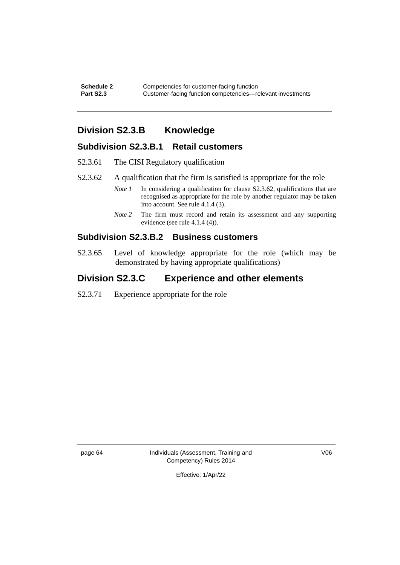**Schedule 2** Competencies for customer-facing function<br> **Part S2.3** Customer-facing function competencies—re **Customer-facing function competencies—relevant investments** 

# **Division S2.3.B Knowledge**

### **Subdivision S2.3.B.1 Retail customers**

- S2.3.61 The CISI Regulatory qualification
- S2.3.62 A qualification that the firm is satisfied is appropriate for the role
	- *Note 1* In considering a qualification for clause S2.3.62, qualifications that are recognised as appropriate for the role by another regulator may be taken into account. See rule 4.1.4 (3).
	- *Note* 2 The firm must record and retain its assessment and any supporting evidence (see rule 4.1.4 (4)).

### **Subdivision S2.3.B.2 Business customers**

S2.3.65 Level of knowledge appropriate for the role (which may be demonstrated by having appropriate qualifications)

## **Division S2.3.C Experience and other elements**

S2.3.71 Experience appropriate for the role

page 64 Individuals (Assessment, Training and Competency) Rules 2014

V06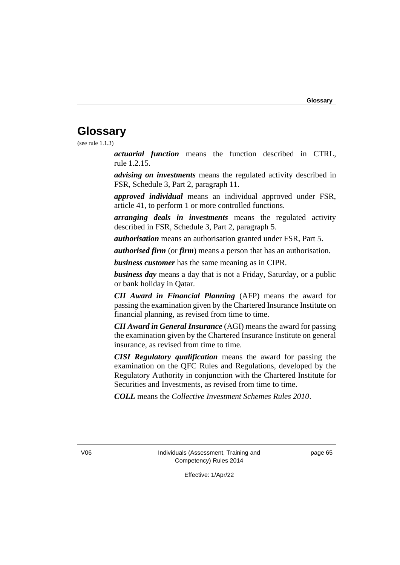# **Glossary**

(see rule 1.1.3)

*actuarial function* means the function described in CTRL, rule 1.2.15.

*advising on investments* means the regulated activity described in FSR, Schedule 3, Part 2, paragraph 11.

*approved individual* means an individual approved under FSR, article 41, to perform 1 or more controlled functions.

*arranging deals in investments* means the regulated activity described in FSR, Schedule 3, Part 2, paragraph 5.

*authorisation* means an authorisation granted under FSR, Part 5.

*authorised firm* (or *firm*) means a person that has an authorisation.

*business customer* has the same meaning as in CIPR.

*business day* means a day that is not a Friday, Saturday, or a public or bank holiday in Qatar.

*CII Award in Financial Planning* (AFP) means the award for passing the examination given by the Chartered Insurance Institute on financial planning, as revised from time to time.

*CII Award in General Insurance* (AGI) means the award for passing the examination given by the Chartered Insurance Institute on general insurance, as revised from time to time.

*CISI Regulatory qualification* means the award for passing the examination on the QFC Rules and Regulations, developed by the Regulatory Authority in conjunction with the Chartered Institute for Securities and Investments, as revised from time to time.

*COLL* means the *Collective Investment Schemes Rules 2010*.

V06 Individuals (Assessment, Training and Competency) Rules 2014

page 65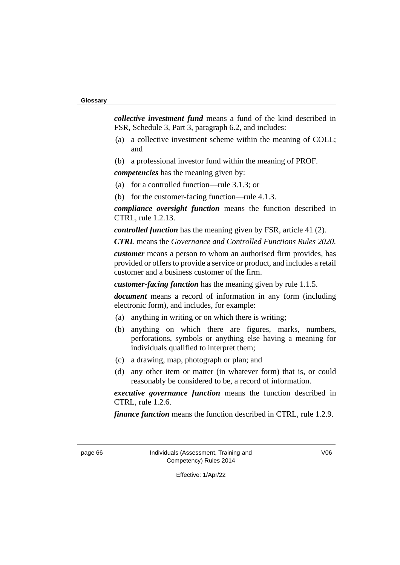#### **Glossary**

*collective investment fund* means a fund of the kind described in FSR, Schedule 3, Part 3, paragraph 6.2, and includes:

- (a) a collective investment scheme within the meaning of COLL; and
- (b) a professional investor fund within the meaning of PROF.

*competencies* has the meaning given by:

- (a) for a controlled function—rule 3.1.3; or
- (b) for the customer-facing function—rule 4.1.3.

*compliance oversight function* means the function described in CTRL, rule 1.2.13.

*controlled function* has the meaning given by FSR, article 41 (2).

*CTRL* means the *Governance and Controlled Functions Rules 2020*.

*customer* means a person to whom an authorised firm provides, has provided or offers to provide a service or product, and includes a retail customer and a business customer of the firm.

*customer-facing function* has the meaning given by rule 1.1.5.

*document* means a record of information in any form (including electronic form), and includes, for example:

- (a) anything in writing or on which there is writing;
- (b) anything on which there are figures, marks, numbers, perforations, symbols or anything else having a meaning for individuals qualified to interpret them;
- (c) a drawing, map, photograph or plan; and
- (d) any other item or matter (in whatever form) that is, or could reasonably be considered to be, a record of information.

*executive governance function* means the function described in CTRL, rule 1.2.6.

*finance function* means the function described in CTRL, rule 1.2.9.

page 66 Individuals (Assessment, Training and Competency) Rules 2014

V06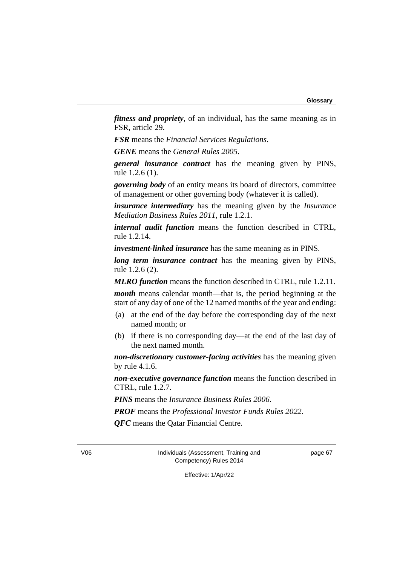*fitness and propriety*, of an individual, has the same meaning as in FSR, article 29.

*FSR* means the *Financial Services Regulations*.

*GENE* means the *General Rules 2005*.

*general insurance contract* has the meaning given by PINS, rule 1.2.6 (1).

*governing body* of an entity means its board of directors, committee of management or other governing body (whatever it is called).

*insurance intermediary* has the meaning given by the *Insurance Mediation Business Rules 2011*, rule 1.2.1.

*internal audit function* means the function described in CTRL, rule 1.2.14.

*investment-linked insurance* has the same meaning as in PINS.

*long term insurance contract* has the meaning given by PINS, rule 1.2.6 (2).

*MLRO function* means the function described in CTRL, rule 1.2.11. *month* means calendar month—that is, the period beginning at the

start of any day of one of the 12 named months of the year and ending:

- (a) at the end of the day before the corresponding day of the next named month; or
- (b) if there is no corresponding day—at the end of the last day of the next named month.

*non-discretionary customer-facing activities* has the meaning given by rule 4.1.6.

*non-executive governance function* means the function described in CTRL, rule 1.2.7.

*PINS* means the *Insurance Business Rules 2006*.

*PROF* means the *Professional Investor Funds Rules 2022*.

*QFC* means the Qatar Financial Centre.

V06 Individuals (Assessment, Training and Competency) Rules 2014

page 67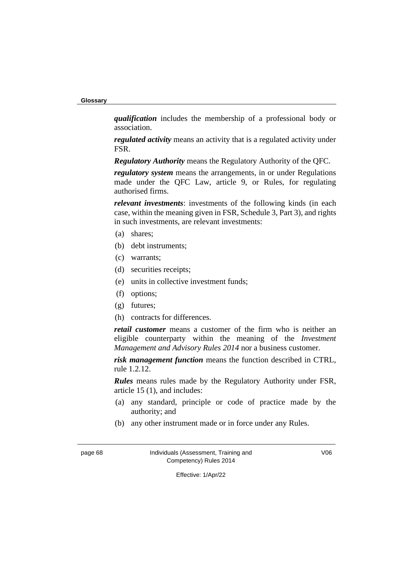**Glossary**

*qualification* includes the membership of a professional body or association.

*regulated activity* means an activity that is a regulated activity under FSR.

*Regulatory Authority* means the Regulatory Authority of the QFC.

*regulatory system* means the arrangements, in or under Regulations made under the QFC Law, article 9, or Rules, for regulating authorised firms.

*relevant investments*: investments of the following kinds (in each case, within the meaning given in FSR, Schedule 3, Part 3), and rights in such investments, are relevant investments:

- (a) shares;
- (b) debt instruments;
- (c) warrants;
- (d) securities receipts;
- (e) units in collective investment funds;
- (f) options;
- (g) futures;
- (h) contracts for differences.

*retail customer* means a customer of the firm who is neither an eligible counterparty within the meaning of the *Investment Management and Advisory Rules 2014* nor a business customer.

*risk management function* means the function described in CTRL, rule 1.2.12.

*Rules* means rules made by the Regulatory Authority under FSR, article 15 (1), and includes:

- (a) any standard, principle or code of practice made by the authority; and
- (b) any other instrument made or in force under any Rules.

page 68 Individuals (Assessment, Training and Competency) Rules 2014

V06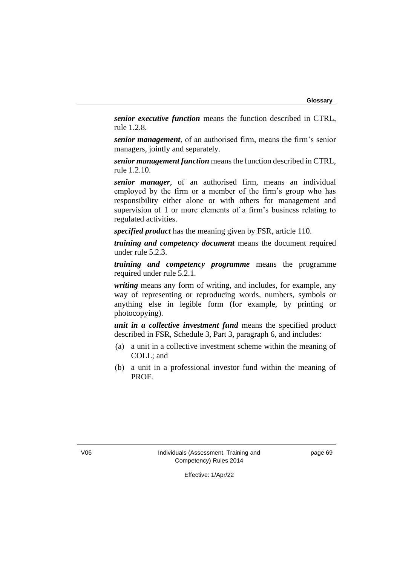*senior executive function* means the function described in CTRL, rule 1.2.8.

*senior management*, of an authorised firm, means the firm's senior managers, jointly and separately.

*senior management function* means the function described in CTRL, rule 1.2.10.

*senior manager*, of an authorised firm, means an individual employed by the firm or a member of the firm's group who has responsibility either alone or with others for management and supervision of 1 or more elements of a firm's business relating to regulated activities.

*specified product* has the meaning given by FSR, article 110.

*training and competency document* means the document required under rule 5.2.3.

*training and competency programme* means the programme required under rule 5.2.1.

*writing* means any form of writing, and includes, for example, any way of representing or reproducing words, numbers, symbols or anything else in legible form (for example, by printing or photocopying).

*unit in a collective investment fund* means the specified product described in FSR, Schedule 3, Part 3, paragraph 6, and includes:

- (a) a unit in a collective investment scheme within the meaning of COLL; and
- (b) a unit in a professional investor fund within the meaning of PROF.

V06 Individuals (Assessment, Training and Competency) Rules 2014

page 69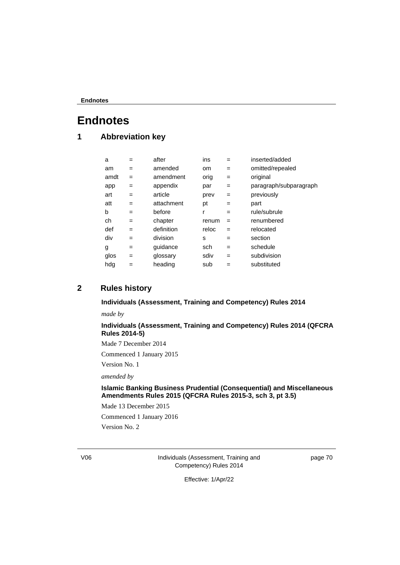# **1 Abbreviation key**

| a    | $=$ | after      | ins   | $=$ | inserted/added         |
|------|-----|------------|-------|-----|------------------------|
| am   | $=$ | amended    | om.   | $=$ | omitted/repealed       |
| amdt | =   | amendment  | orig  | $=$ | original               |
| app  | $=$ | appendix   | par   | $=$ | paragraph/subparagraph |
| art  | $=$ | article    | prev  | $=$ | previously             |
| att  | $=$ | attachment | рt    | $=$ | part                   |
| b    | $=$ | before     | r     | $=$ | rule/subrule           |
| ch   | $=$ | chapter    | renum | $=$ | renumbered             |
| def  | $=$ | definition | reloc | $=$ | relocated              |
| div  | $=$ | division   | S     | $=$ | section                |
| g    | $=$ | quidance   | sch   | $=$ | schedule               |
| glos | $=$ | glossary   | sdiv  | $=$ | subdivision            |
| hdg  | =   | heading    | sub   |     | substituted            |

## **2 Rules history**

### **Individuals (Assessment, Training and Competency) Rules 2014**

*made by*

### **Individuals (Assessment, Training and Competency) Rules 2014 (QFCRA Rules 2014-5)**

Made 7 December 2014

Commenced 1 January 2015

Version No. 1

*amended by*

#### **Islamic Banking Business Prudential (Consequential) and Miscellaneous Amendments Rules 2015 (QFCRA Rules 2015-3, sch 3, pt 3.5)**

Made 13 December 2015

Commenced 1 January 2016

Version No. 2

V06 Individuals (Assessment, Training and Competency) Rules 2014

page 70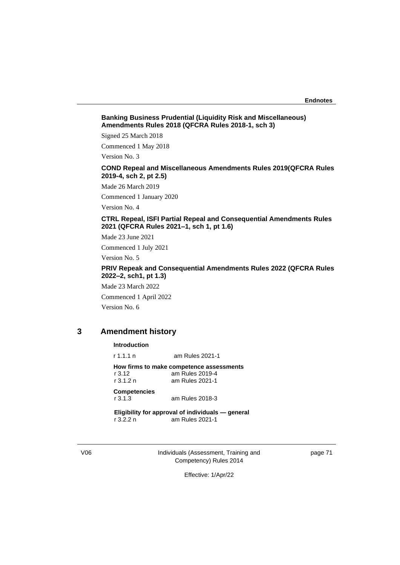#### **Banking Business Prudential (Liquidity Risk and Miscellaneous) Amendments Rules 2018 (QFCRA Rules 2018-1, sch 3)**

Signed 25 March 2018

Commenced 1 May 2018

Version No. 3

#### **COND Repeal and Miscellaneous Amendments Rules 2019(QFCRA Rules 2019-4, sch 2, pt 2.5)**

Made 26 March 2019

Commenced 1 January 2020

Version No. 4

#### **CTRL Repeal, ISFI Partial Repeal and Consequential Amendments Rules 2021 (QFCRA Rules 2021–1, sch 1, pt 1.6)**

Made 23 June 2021

Commenced 1 July 2021

Version No. 5

#### **PRIV Repeak and Consequential Amendments Rules 2022 (QFCRA Rules 2022–2, sch1, pt 1.3)**

Made 23 March 2022

Commenced 1 April 2022 Version No. 6

## **3 Amendment history**

#### **Introduction**

r 1.1.1 n am Rules 2021-1

**How firms to make competence assessments**<br>r 3.12 am Rules 2019-4 r 3.12 am Rules 2019-4 am Rules 2021-1

**Competencies** r 3.1.3 am Rules 2018-3

**Eligibility for approval of individuals — general** r 3.2.2 n am Rules 2021-1

V06 Individuals (Assessment, Training and Competency) Rules 2014

page 71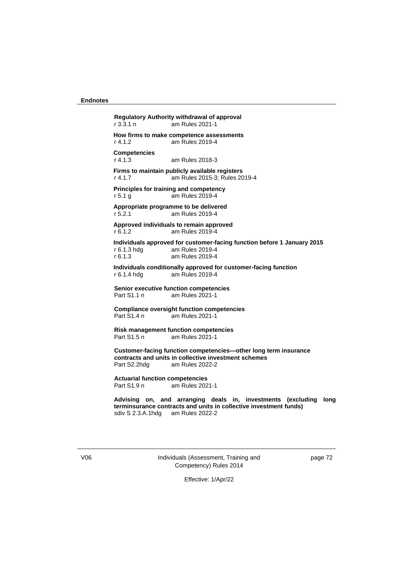**Regulatory Authority withdrawal of approval**  r 3.3.1 n am Rules 2021-1 **How firms to make competence assessments**  r 4.1.2 am Rules 2019-4 **Competencies** r 4.1.3 am Rules 2018-3 **Firms to maintain publicly available registers**  r 4.1.7 am Rules 2015-3; Rules 2019-4 **Principles for training and competency** r 5.1 g am Rules 2019-4 **Appropriate programme to be delivered** r 5.2.1 am Rules 2019-4 **Approved individuals to remain approved** r 6.1.2 am Rules 2019-4 **Individuals approved for customer-facing function before 1 January 2015** am Rules 2019-4 r 6.1.3 am Rules 2019-4 **Individuals conditionally approved for customer-facing function** r 6.1.4 hdg am Rules 2019-4 **Senior executive function competencies**  Part S1.1 n am Rules 2021-1 **Compliance oversight function competencies** Part S1.4 n am Rules 2021-1 **Risk management function competencies** Part S1.5 n am Rules 2021-1 **Customer-facing function competencies—other long term insurance contracts and units in collective investment schemes** am Rules 2022-2 **Actuarial function competencies**  am Rules 2021-1 **Advising on, and arranging deals in, investments (excluding long terminsurance contracts and units in collective investment funds)**

sdiv S 2.3.A.1hdg am Rules 2022-2

V06 Individuals (Assessment, Training and Competency) Rules 2014

page 72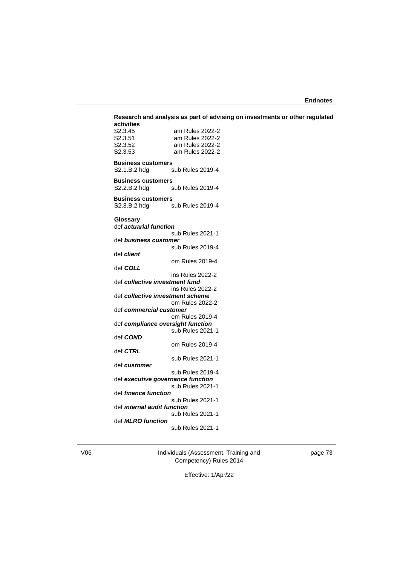| S2.3.45                            | am Rules 2022-2                                       |  |
|------------------------------------|-------------------------------------------------------|--|
| S2.3.51                            | am Rules 2022-2                                       |  |
| S <sub>2</sub> .3.52               | am Rules 2022-2                                       |  |
| S <sub>2</sub> .3.53               | am Rules 2022-2                                       |  |
|                                    |                                                       |  |
| <b>Business customers</b>          |                                                       |  |
| S2.1.B.2 hdg                       | sub Rules 2019-4                                      |  |
| <b>Business customers</b>          |                                                       |  |
| S2.2.B.2 hdg                       | sub Rules 2019-4                                      |  |
| <b>Business customers</b>          |                                                       |  |
|                                    | S2.3.B.2 hdg sub Rules 2019-4                         |  |
|                                    |                                                       |  |
| Glossary                           |                                                       |  |
| def <i>actuarial function</i>      |                                                       |  |
| def business customer              | sub Rules 2021-1                                      |  |
|                                    | sub Rules 2019-4                                      |  |
| def client                         |                                                       |  |
|                                    | om Rules 2019-4                                       |  |
| def COLL                           |                                                       |  |
|                                    | ins Rules 2022-2                                      |  |
| def collective investment fund     |                                                       |  |
|                                    | ins Rules 2022-2                                      |  |
| def collective investment scheme   |                                                       |  |
| def commercial customer            | om Rules 2022-2                                       |  |
|                                    | om Rules 2019-4                                       |  |
|                                    | def compliance oversight function                     |  |
|                                    | sub Rules 2021-1                                      |  |
| def COND                           |                                                       |  |
|                                    | om Rules 2019-4                                       |  |
| def CTRL                           |                                                       |  |
|                                    | sub Rules 2021-1                                      |  |
| def customer                       |                                                       |  |
|                                    | sub Rules 2019-4                                      |  |
|                                    | def executive governance function<br>sub Rules 2021-1 |  |
| def <i>finance function</i>        |                                                       |  |
|                                    | sub Rules 2021-1                                      |  |
| def <i>internal audit function</i> |                                                       |  |
|                                    | sub Rules 2021-1                                      |  |
| def <b>MLRO</b> function           |                                                       |  |
|                                    | sub Rules 2021-1                                      |  |

V06 Individuals (Assessment, Training and Competency) Rules 2014

page 73